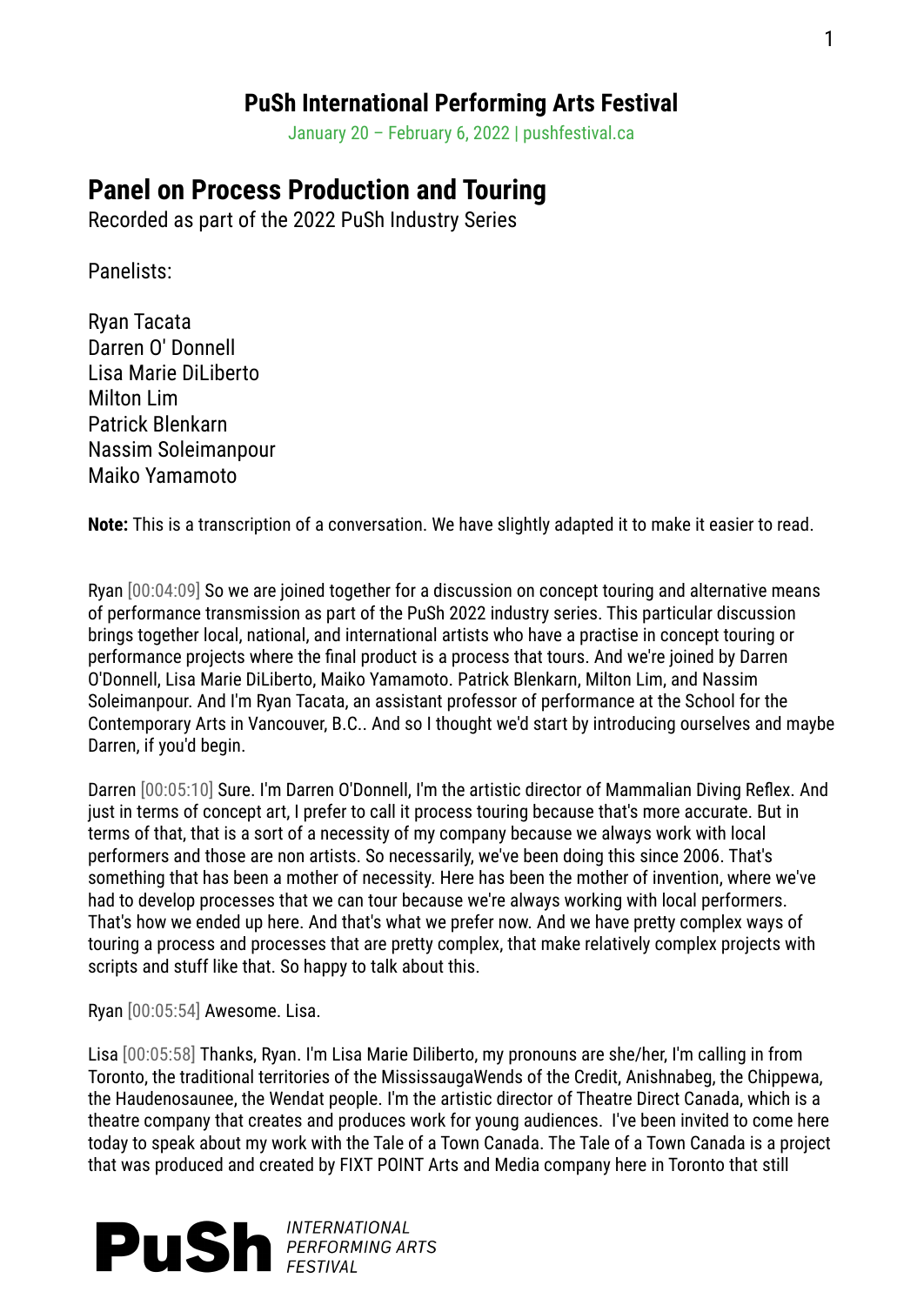## **PuSh International Performing Arts Festival**

January 20 – February 6, 2022 | pushfestival.ca

## **Panel on Process Production and Touring**

Recorded as part of the 2022 PuSh Industry Series

Panelists:

Ryan Tacata Darren O' Donnell Lisa Marie DiLiberto Milton Lim Patrick Blenkarn Nassim Soleimanpour Maiko Yamamoto

**Note:** This is a transcription of a conversation. We have slightly adapted it to make it easier to read.

Ryan [00:04:09] So we are joined together for a discussion on concept touring and alternative means of performance transmission as part of the PuSh 2022 industry series. This particular discussion brings together local, national, and international artists who have a practise in concept touring or performance projects where the final product is a process that tours. And we're joined by Darren O'Donnell, Lisa Marie DiLiberto, Maiko Yamamoto. Patrick Blenkarn, Milton Lim, and Nassim Soleimanpour. And I'm Ryan Tacata, an assistant professor of performance at the School for the Contemporary Arts in Vancouver, B.C.. And so I thought we'd start by introducing ourselves and maybe Darren, if you'd begin.

Darren [00:05:10] Sure. I'm Darren O'Donnell, I'm the artistic director of Mammalian Diving Reflex. And just in terms of concept art, I prefer to call it process touring because that's more accurate. But in terms of that, that is a sort of a necessity of my company because we always work with local performers and those are non artists. So necessarily, we've been doing this since 2006. That's something that has been a mother of necessity. Here has been the mother of invention, where we've had to develop processes that we can tour because we're always working with local performers. That's how we ended up here. And that's what we prefer now. And we have pretty complex ways of touring a process and processes that are pretty complex, that make relatively complex projects with scripts and stuff like that. So happy to talk about this.

Ryan [00:05:54] Awesome. Lisa.

Lisa [00:05:58] Thanks, Ryan. I'm Lisa Marie Diliberto, my pronouns are she/her, I'm calling in from Toronto, the traditional territories of the MississaugaWends of the Credit, Anishnabeg, the Chippewa, the Haudenosaunee, the Wendat people. I'm the artistic director of Theatre Direct Canada, which is a theatre company that creates and produces work for young audiences. I've been invited to come here today to speak about my work with the Tale of a Town Canada. The Tale of a Town Canada is a project that was produced and created by FIXT POINT Arts and Media company here in Toronto that still

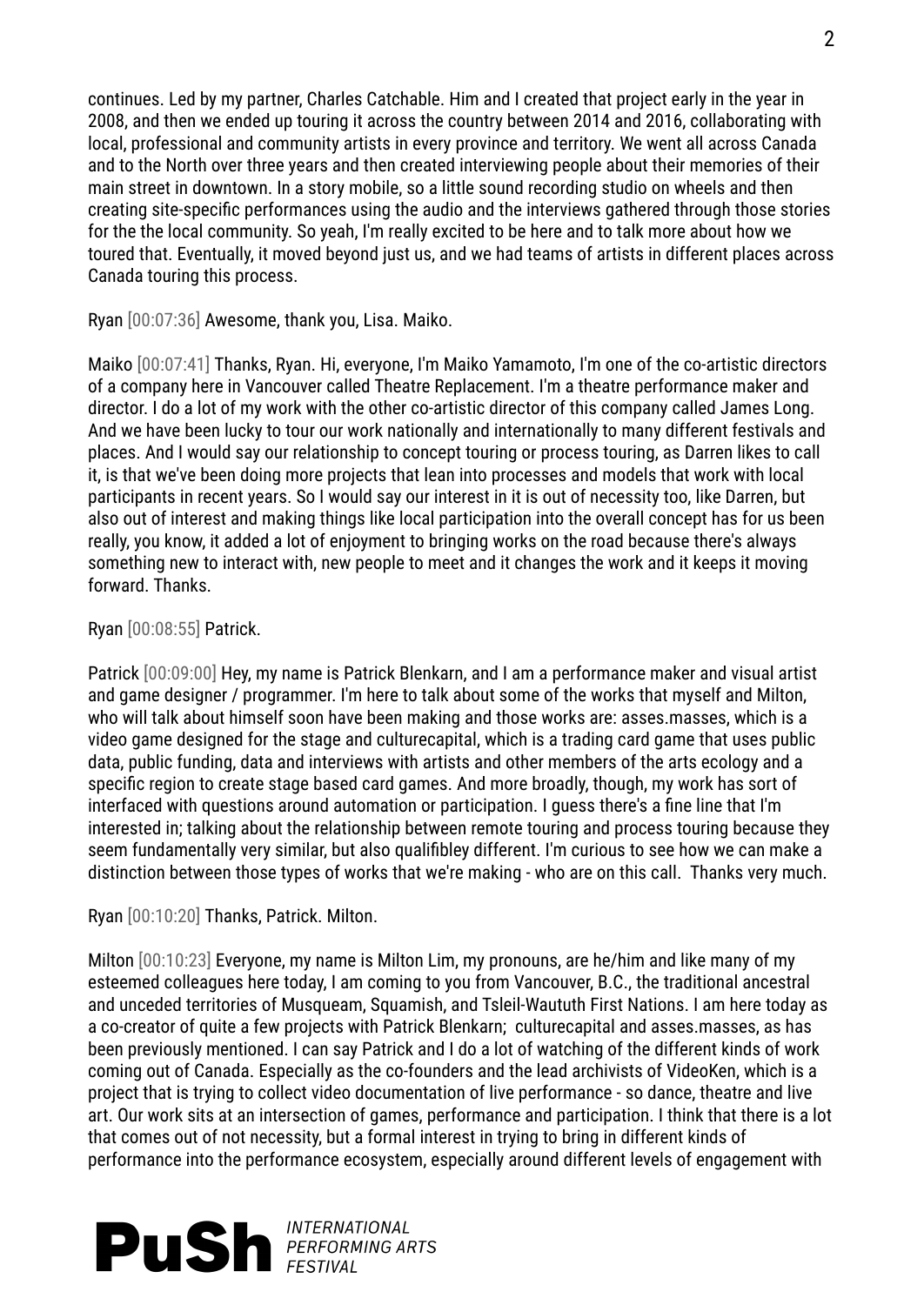continues. Led by my partner, Charles Catchable. Him and I created that project early in the year in 2008, and then we ended up touring it across the country between 2014 and 2016, collaborating with local, professional and community artists in every province and territory. We went all across Canada and to the North over three years and then created interviewing people about their memories of their main street in downtown. In a story mobile, so a little sound recording studio on wheels and then creating site-specific performances using the audio and the interviews gathered through those stories for the the local community. So yeah, I'm really excited to be here and to talk more about how we toured that. Eventually, it moved beyond just us, and we had teams of artists in different places across Canada touring this process.

Ryan [00:07:36] Awesome, thank you, Lisa. Maiko.

Maiko [00:07:41] Thanks, Ryan. Hi, everyone, I'm Maiko Yamamoto, I'm one of the co-artistic directors of a company here in Vancouver called Theatre Replacement. I'm a theatre performance maker and director. I do a lot of my work with the other co-artistic director of this company called James Long. And we have been lucky to tour our work nationally and internationally to many different festivals and places. And I would say our relationship to concept touring or process touring, as Darren likes to call it, is that we've been doing more projects that lean into processes and models that work with local participants in recent years. So I would say our interest in it is out of necessity too, like Darren, but also out of interest and making things like local participation into the overall concept has for us been really, you know, it added a lot of enjoyment to bringing works on the road because there's always something new to interact with, new people to meet and it changes the work and it keeps it moving forward. Thanks.

Ryan [00:08:55] Patrick.

Patrick [00:09:00] Hey, my name is Patrick Blenkarn, and I am a performance maker and visual artist and game designer / programmer. I'm here to talk about some of the works that myself and Milton, who will talk about himself soon have been making and those works are: asses.masses, which is a video game designed for the stage and culturecapital, which is a trading card game that uses public data, public funding, data and interviews with artists and other members of the arts ecology and a specific region to create stage based card games. And more broadly, though, my work has sort of interfaced with questions around automation or participation. I guess there's a fine line that I'm interested in; talking about the relationship between remote touring and process touring because they seem fundamentally very similar, but also qualifibley different. I'm curious to see how we can make a distinction between those types of works that we're making - who are on this call. Thanks very much.

Ryan [00:10:20] Thanks, Patrick. Milton.

Milton [00:10:23] Everyone, my name is Milton Lim, my pronouns, are he/him and like many of my esteemed colleagues here today, I am coming to you from Vancouver, B.C., the traditional ancestral and unceded territories of Musqueam, Squamish, and Tsleil-Waututh First Nations. I am here today as a co-creator of quite a few projects with Patrick Blenkarn; culturecapital and asses.masses, as has been previously mentioned. I can say Patrick and I do a lot of watching of the different kinds of work coming out of Canada. Especially as the co-founders and the lead archivists of VideoKen, which is a project that is trying to collect video documentation of live performance - so dance, theatre and live art. Our work sits at an intersection of games, performance and participation. I think that there is a lot that comes out of not necessity, but a formal interest in trying to bring in different kinds of performance into the performance ecosystem, especially around different levels of engagement with

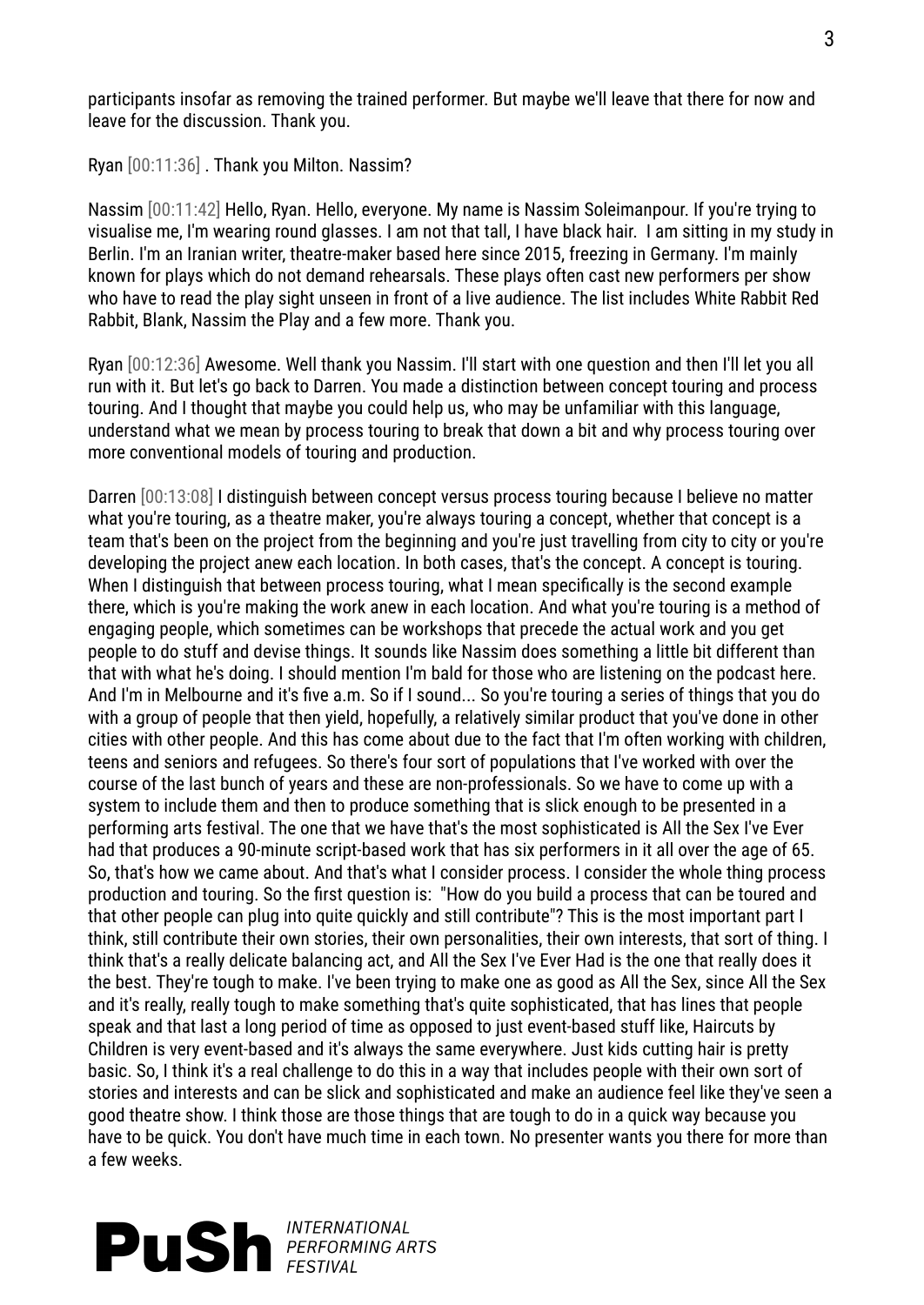participants insofar as removing the trained performer. But maybe we'll leave that there for now and leave for the discussion. Thank you.

Ryan [00:11:36] . Thank you Milton. Nassim?

Nassim [00:11:42] Hello, Ryan. Hello, everyone. My name is Nassim Soleimanpour. If you're trying to visualise me, I'm wearing round glasses. I am not that tall, I have black hair. I am sitting in my study in Berlin. I'm an Iranian writer, theatre-maker based here since 2015, freezing in Germany. I'm mainly known for plays which do not demand rehearsals. These plays often cast new performers per show who have to read the play sight unseen in front of a live audience. The list includes White Rabbit Red Rabbit, Blank, Nassim the Play and a few more. Thank you.

Ryan [00:12:36] Awesome. Well thank you Nassim. I'll start with one question and then I'll let you all run with it. But let's go back to Darren. You made a distinction between concept touring and process touring. And I thought that maybe you could help us, who may be unfamiliar with this language, understand what we mean by process touring to break that down a bit and why process touring over more conventional models of touring and production.

Darren [00:13:08] I distinguish between concept versus process touring because I believe no matter what you're touring, as a theatre maker, you're always touring a concept, whether that concept is a team that's been on the project from the beginning and you're just travelling from city to city or you're developing the project anew each location. In both cases, that's the concept. A concept is touring. When I distinguish that between process touring, what I mean specifically is the second example there, which is you're making the work anew in each location. And what you're touring is a method of engaging people, which sometimes can be workshops that precede the actual work and you get people to do stuff and devise things. It sounds like Nassim does something a little bit different than that with what he's doing. I should mention I'm bald for those who are listening on the podcast here. And I'm in Melbourne and it's five a.m. So if I sound... So you're touring a series of things that you do with a group of people that then yield, hopefully, a relatively similar product that you've done in other cities with other people. And this has come about due to the fact that I'm often working with children, teens and seniors and refugees. So there's four sort of populations that I've worked with over the course of the last bunch of years and these are non-professionals. So we have to come up with a system to include them and then to produce something that is slick enough to be presented in a performing arts festival. The one that we have that's the most sophisticated is All the Sex I've Ever had that produces a 90-minute script-based work that has six performers in it all over the age of 65. So, that's how we came about. And that's what I consider process. I consider the whole thing process production and touring. So the first question is: "How do you build a process that can be toured and that other people can plug into quite quickly and still contribute"? This is the most important part I think, still contribute their own stories, their own personalities, their own interests, that sort of thing. I think that's a really delicate balancing act, and All the Sex I've Ever Had is the one that really does it the best. They're tough to make. I've been trying to make one as good as All the Sex, since All the Sex and it's really, really tough to make something that's quite sophisticated, that has lines that people speak and that last a long period of time as opposed to just event-based stuff like, Haircuts by Children is very event-based and it's always the same everywhere. Just kids cutting hair is pretty basic. So, I think it's a real challenge to do this in a way that includes people with their own sort of stories and interests and can be slick and sophisticated and make an audience feel like they've seen a good theatre show. I think those are those things that are tough to do in a quick way because you have to be quick. You don't have much time in each town. No presenter wants you there for more than a few weeks.

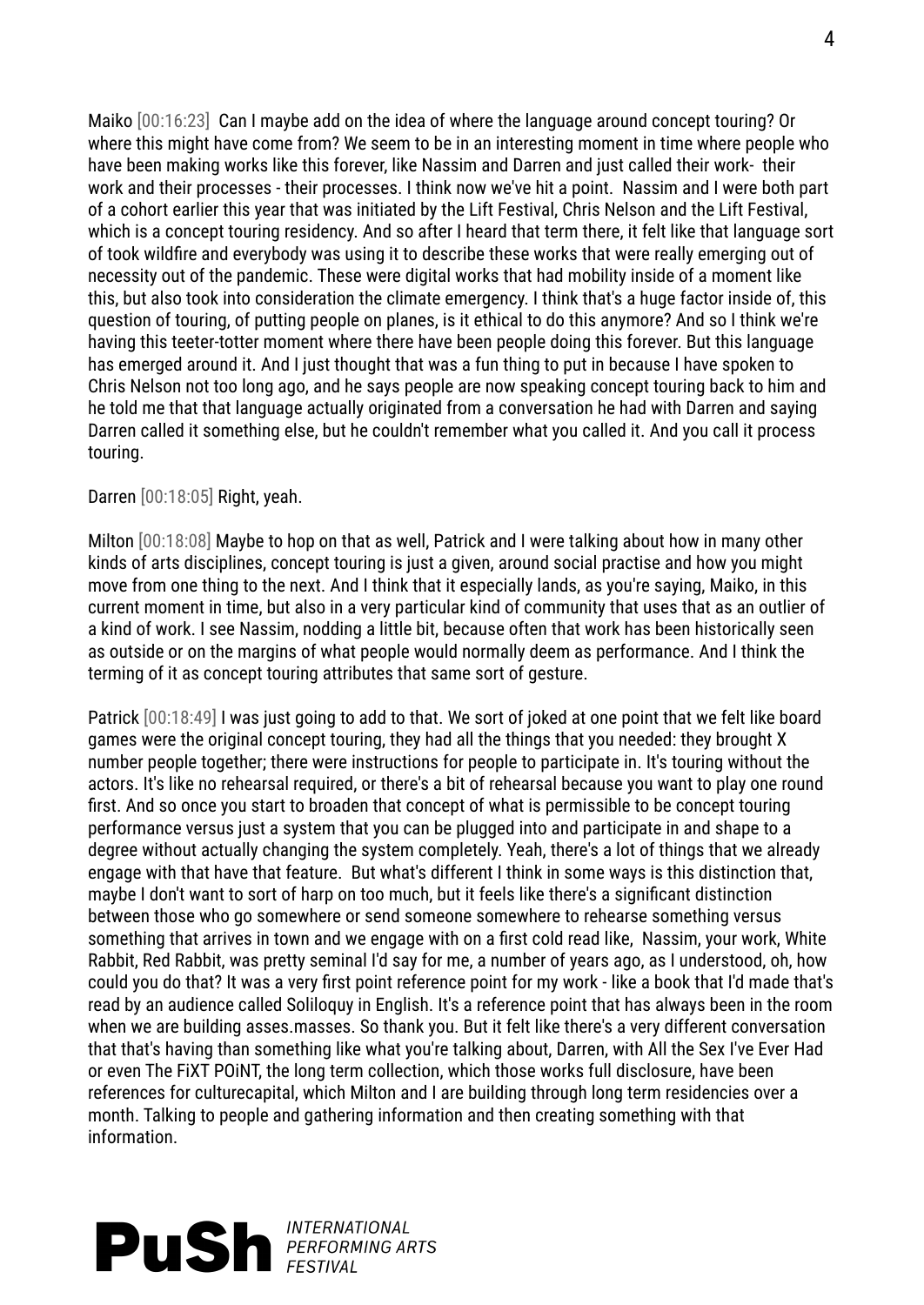Maiko [00:16:23] Can I maybe add on the idea of where the language around concept touring? Or where this might have come from? We seem to be in an interesting moment in time where people who have been making works like this forever, like Nassim and Darren and just called their work- their work and their processes - their processes. I think now we've hit a point. Nassim and I were both part of a cohort earlier this year that was initiated by the Lift Festival, Chris Nelson and the Lift Festival, which is a concept touring residency. And so after I heard that term there, it felt like that language sort of took wildfire and everybody was using it to describe these works that were really emerging out of necessity out of the pandemic. These were digital works that had mobility inside of a moment like this, but also took into consideration the climate emergency. I think that's a huge factor inside of, this question of touring, of putting people on planes, is it ethical to do this anymore? And so I think we're having this teeter-totter moment where there have been people doing this forever. But this language has emerged around it. And I just thought that was a fun thing to put in because I have spoken to Chris Nelson not too long ago, and he says people are now speaking concept touring back to him and he told me that that language actually originated from a conversation he had with Darren and saying Darren called it something else, but he couldn't remember what you called it. And you call it process touring.

## Darren [00:18:05] Right, yeah.

Milton [00:18:08] Maybe to hop on that as well, Patrick and I were talking about how in many other kinds of arts disciplines, concept touring is just a given, around social practise and how you might move from one thing to the next. And I think that it especially lands, as you're saying, Maiko, in this current moment in time, but also in a very particular kind of community that uses that as an outlier of a kind of work. I see Nassim, nodding a little bit, because often that work has been historically seen as outside or on the margins of what people would normally deem as performance. And I think the terming of it as concept touring attributes that same sort of gesture.

Patrick [00:18:49] I was just going to add to that. We sort of joked at one point that we felt like board games were the original concept touring, they had all the things that you needed: they brought X number people together; there were instructions for people to participate in. It's touring without the actors. It's like no rehearsal required, or there's a bit of rehearsal because you want to play one round first. And so once you start to broaden that concept of what is permissible to be concept touring performance versus just a system that you can be plugged into and participate in and shape to a degree without actually changing the system completely. Yeah, there's a lot of things that we already engage with that have that feature. But what's different I think in some ways is this distinction that, maybe I don't want to sort of harp on too much, but it feels like there's a significant distinction between those who go somewhere or send someone somewhere to rehearse something versus something that arrives in town and we engage with on a first cold read like, Nassim, your work, White Rabbit, Red Rabbit, was pretty seminal I'd say for me, a number of years ago, as I understood, oh, how could you do that? It was a very first point reference point for my work - like a book that I'd made that's read by an audience called Soliloquy in English. It's a reference point that has always been in the room when we are building asses.masses. So thank you. But it felt like there's a very different conversation that that's having than something like what you're talking about, Darren, with All the Sex I've Ever Had or even The FiXT POiNT, the long term collection, which those works full disclosure, have been references for culturecapital, which Milton and I are building through long term residencies over a month. Talking to people and gathering information and then creating something with that information.

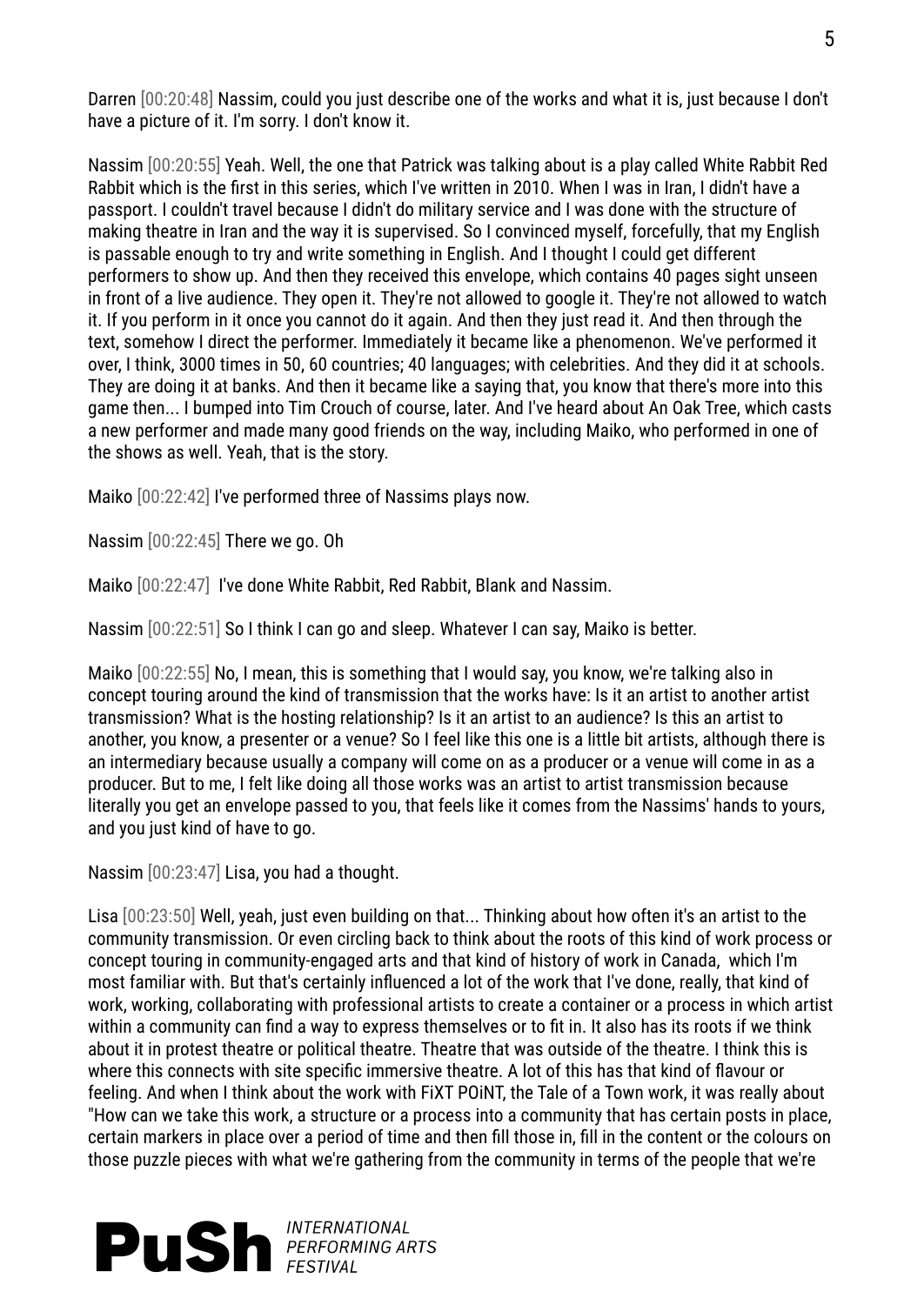Darren [00:20:48] Nassim, could you just describe one of the works and what it is, just because I don't have a picture of it. I'm sorry. I don't know it.

Nassim [00:20:55] Yeah. Well, the one that Patrick was talking about is a play called White Rabbit Red Rabbit which is the first in this series, which I've written in 2010. When I was in Iran, I didn't have a passport. I couldn't travel because I didn't do military service and I was done with the structure of making theatre in Iran and the way it is supervised. So I convinced myself, forcefully, that my English is passable enough to try and write something in English. And I thought I could get different performers to show up. And then they received this envelope, which contains 40 pages sight unseen in front of a live audience. They open it. They're not allowed to google it. They're not allowed to watch it. If you perform in it once you cannot do it again. And then they just read it. And then through the text, somehow I direct the performer. Immediately it became like a phenomenon. We've performed it over, I think, 3000 times in 50, 60 countries; 40 languages; with celebrities. And they did it at schools. They are doing it at banks. And then it became like a saying that, you know that there's more into this game then... I bumped into Tim Crouch of course, later. And I've heard about An Oak Tree, which casts a new performer and made many good friends on the way, including Maiko, who performed in one of the shows as well. Yeah, that is the story.

Maiko [00:22:42] I've performed three of Nassims plays now.

Nassim [00:22:45] There we go. Oh

Maiko [00:22:47] I've done White Rabbit, Red Rabbit, Blank and Nassim.

Nassim [00:22:51] So I think I can go and sleep. Whatever I can say, Maiko is better.

Maiko [00:22:55] No, I mean, this is something that I would say, you know, we're talking also in concept touring around the kind of transmission that the works have: Is it an artist to another artist transmission? What is the hosting relationship? Is it an artist to an audience? Is this an artist to another, you know, a presenter or a venue? So I feel like this one is a little bit artists, although there is an intermediary because usually a company will come on as a producer or a venue will come in as a producer. But to me, I felt like doing all those works was an artist to artist transmission because literally you get an envelope passed to you, that feels like it comes from the Nassims' hands to yours, and you just kind of have to go.

Nassim [00:23:47] Lisa, you had a thought.

Lisa [00:23:50] Well, yeah, just even building on that... Thinking about how often it's an artist to the community transmission. Or even circling back to think about the roots of this kind of work process or concept touring in community-engaged arts and that kind of history of work in Canada, which I'm most familiar with. But that's certainly influenced a lot of the work that I've done, really, that kind of work, working, collaborating with professional artists to create a container or a process in which artist within a community can find a way to express themselves or to fit in. It also has its roots if we think about it in protest theatre or political theatre. Theatre that was outside of the theatre. I think this is where this connects with site specific immersive theatre. A lot of this has that kind of flavour or feeling. And when I think about the work with FiXT POiNT, the Tale of a Town work, it was really about "How can we take this work, a structure or a process into a community that has certain posts in place, certain markers in place over a period of time and then fill those in, fill in the content or the colours on those puzzle pieces with what we're gathering from the community in terms of the people that we're

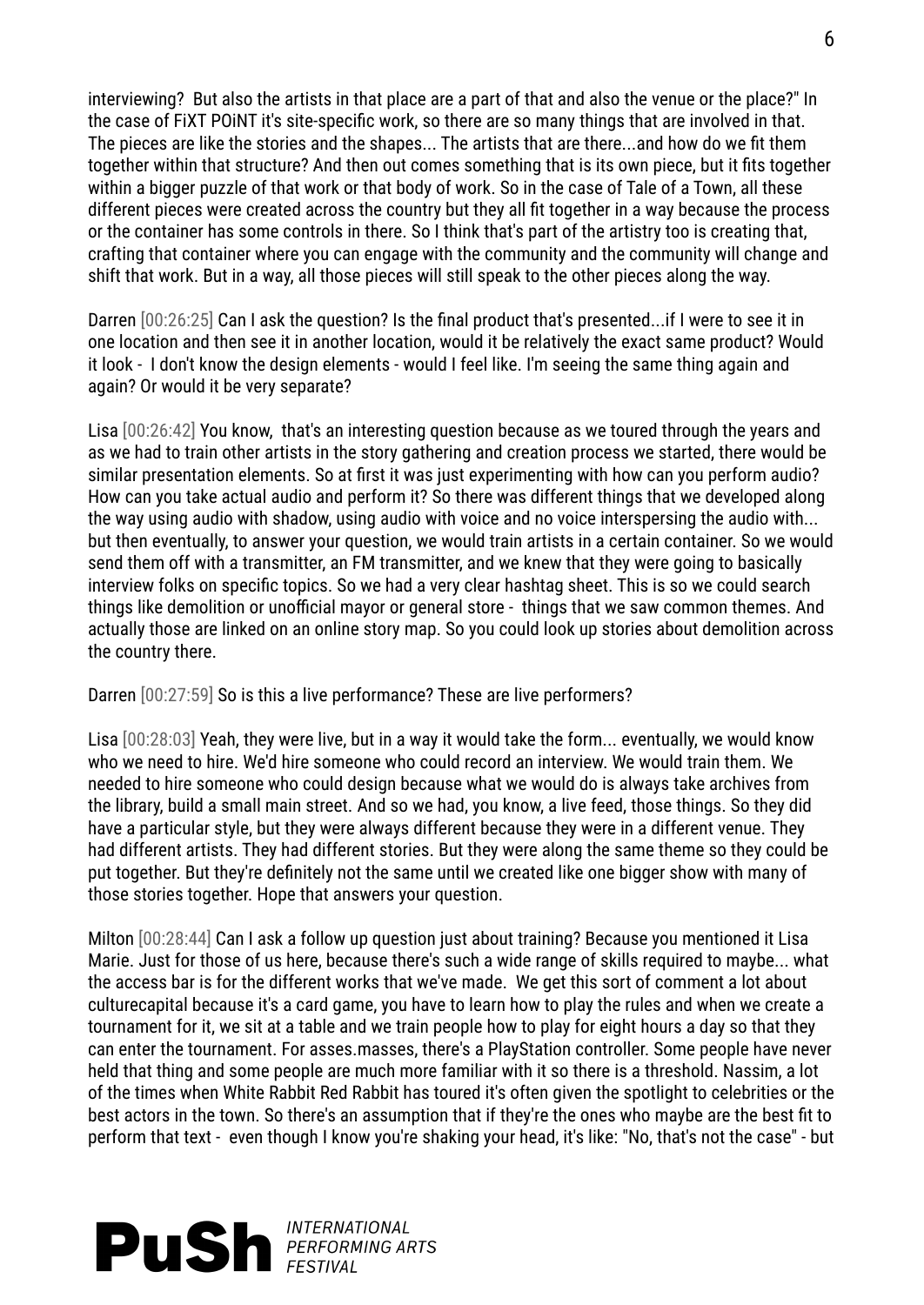interviewing? But also the artists in that place are a part of that and also the venue or the place?" In the case of FiXT POiNT it's site-specific work, so there are so many things that are involved in that. The pieces are like the stories and the shapes... The artists that are there...and how do we fit them together within that structure? And then out comes something that is its own piece, but it fits together within a bigger puzzle of that work or that body of work. So in the case of Tale of a Town, all these different pieces were created across the country but they all fit together in a way because the process or the container has some controls in there. So I think that's part of the artistry too is creating that, crafting that container where you can engage with the community and the community will change and shift that work. But in a way, all those pieces will still speak to the other pieces along the way.

Darren [00:26:25] Can I ask the question? Is the final product that's presented...if I were to see it in one location and then see it in another location, would it be relatively the exact same product? Would it look - I don't know the design elements - would I feel like. I'm seeing the same thing again and again? Or would it be very separate?

Lisa [00:26:42] You know, that's an interesting question because as we toured through the years and as we had to train other artists in the story gathering and creation process we started, there would be similar presentation elements. So at first it was just experimenting with how can you perform audio? How can you take actual audio and perform it? So there was different things that we developed along the way using audio with shadow, using audio with voice and no voice interspersing the audio with... but then eventually, to answer your question, we would train artists in a certain container. So we would send them off with a transmitter, an FM transmitter, and we knew that they were going to basically interview folks on specific topics. So we had a very clear hashtag sheet. This is so we could search things like demolition or unofficial mayor or general store - things that we saw common themes. And actually those are linked on an online story map. So you could look up stories about demolition across the country there.

Darren [00:27:59] So is this a live performance? These are live performers?

Lisa [00:28:03] Yeah, they were live, but in a way it would take the form... eventually, we would know who we need to hire. We'd hire someone who could record an interview. We would train them. We needed to hire someone who could design because what we would do is always take archives from the library, build a small main street. And so we had, you know, a live feed, those things. So they did have a particular style, but they were always different because they were in a different venue. They had different artists. They had different stories. But they were along the same theme so they could be put together. But they're definitely not the same until we created like one bigger show with many of those stories together. Hope that answers your question.

Milton [00:28:44] Can I ask a follow up question just about training? Because you mentioned it Lisa Marie. Just for those of us here, because there's such a wide range of skills required to maybe... what the access bar is for the different works that we've made. We get this sort of comment a lot about culturecapital because it's a card game, you have to learn how to play the rules and when we create a tournament for it, we sit at a table and we train people how to play for eight hours a day so that they can enter the tournament. For asses.masses, there's a PlayStation controller. Some people have never held that thing and some people are much more familiar with it so there is a threshold. Nassim, a lot of the times when White Rabbit Red Rabbit has toured it's often given the spotlight to celebrities or the best actors in the town. So there's an assumption that if they're the ones who maybe are the best fit to perform that text - even though I know you're shaking your head, it's like: "No, that's not the case" - but

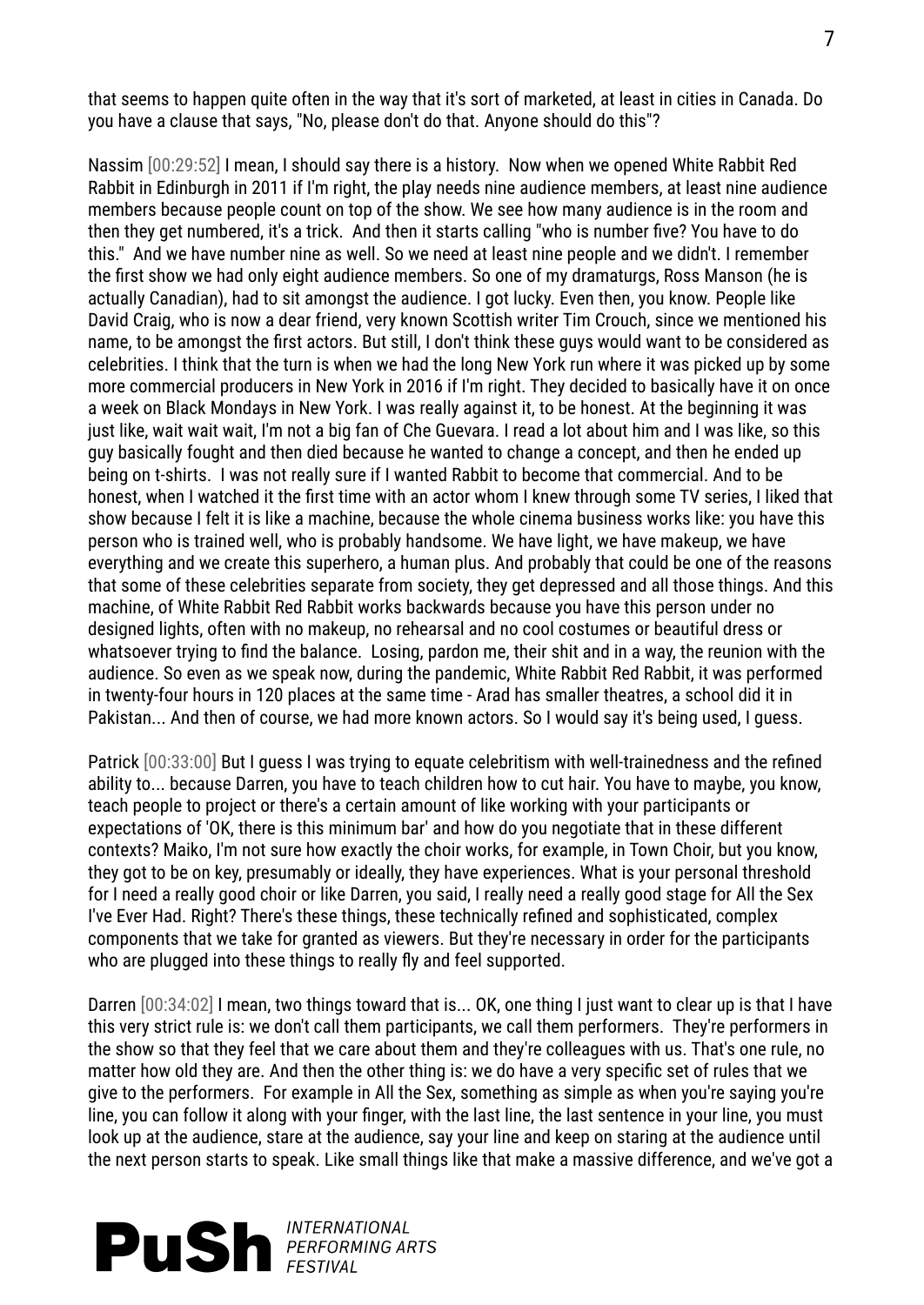that seems to happen quite often in the way that it's sort of marketed, at least in cities in Canada. Do you have a clause that says, "No, please don't do that. Anyone should do this"?

Nassim [00:29:52] I mean, I should say there is a history. Now when we opened White Rabbit Red Rabbit in Edinburgh in 2011 if I'm right, the play needs nine audience members, at least nine audience members because people count on top of the show. We see how many audience is in the room and then they get numbered, it's a trick. And then it starts calling "who is number five? You have to do this." And we have number nine as well. So we need at least nine people and we didn't. I remember the first show we had only eight audience members. So one of my dramaturgs, Ross Manson (he is actually Canadian), had to sit amongst the audience. I got lucky. Even then, you know. People like David Craig, who is now a dear friend, very known Scottish writer Tim Crouch, since we mentioned his name, to be amongst the first actors. But still, I don't think these guys would want to be considered as celebrities. I think that the turn is when we had the long New York run where it was picked up by some more commercial producers in New York in 2016 if I'm right. They decided to basically have it on once a week on Black Mondays in New York. I was really against it, to be honest. At the beginning it was just like, wait wait wait, I'm not a big fan of Che Guevara. I read a lot about him and I was like, so this guy basically fought and then died because he wanted to change a concept, and then he ended up being on t-shirts. I was not really sure if I wanted Rabbit to become that commercial. And to be honest, when I watched it the first time with an actor whom I knew through some TV series, I liked that show because I felt it is like a machine, because the whole cinema business works like: you have this person who is trained well, who is probably handsome. We have light, we have makeup, we have everything and we create this superhero, a human plus. And probably that could be one of the reasons that some of these celebrities separate from society, they get depressed and all those things. And this machine, of White Rabbit Red Rabbit works backwards because you have this person under no designed lights, often with no makeup, no rehearsal and no cool costumes or beautiful dress or whatsoever trying to find the balance. Losing, pardon me, their shit and in a way, the reunion with the audience. So even as we speak now, during the pandemic, White Rabbit Red Rabbit, it was performed in twenty-four hours in 120 places at the same time - Arad has smaller theatres, a school did it in Pakistan... And then of course, we had more known actors. So I would say it's being used, I guess.

Patrick [00:33:00] But I guess I was trying to equate celebritism with well-trainedness and the refined ability to... because Darren, you have to teach children how to cut hair. You have to maybe, you know, teach people to project or there's a certain amount of like working with your participants or expectations of 'OK, there is this minimum bar' and how do you negotiate that in these different contexts? Maiko, I'm not sure how exactly the choir works, for example, in Town Choir, but you know, they got to be on key, presumably or ideally, they have experiences. What is your personal threshold for I need a really good choir or like Darren, you said, I really need a really good stage for All the Sex I've Ever Had. Right? There's these things, these technically refined and sophisticated, complex components that we take for granted as viewers. But they're necessary in order for the participants who are plugged into these things to really fly and feel supported.

Darren [00:34:02] I mean, two things toward that is... OK, one thing I just want to clear up is that I have this very strict rule is: we don't call them participants, we call them performers. They're performers in the show so that they feel that we care about them and they're colleagues with us. That's one rule, no matter how old they are. And then the other thing is: we do have a very specific set of rules that we give to the performers. For example in All the Sex, something as simple as when you're saying you're line, you can follow it along with your finger, with the last line, the last sentence in your line, you must look up at the audience, stare at the audience, say your line and keep on staring at the audience until the next person starts to speak. Like small things like that make a massive difference, and we've got a

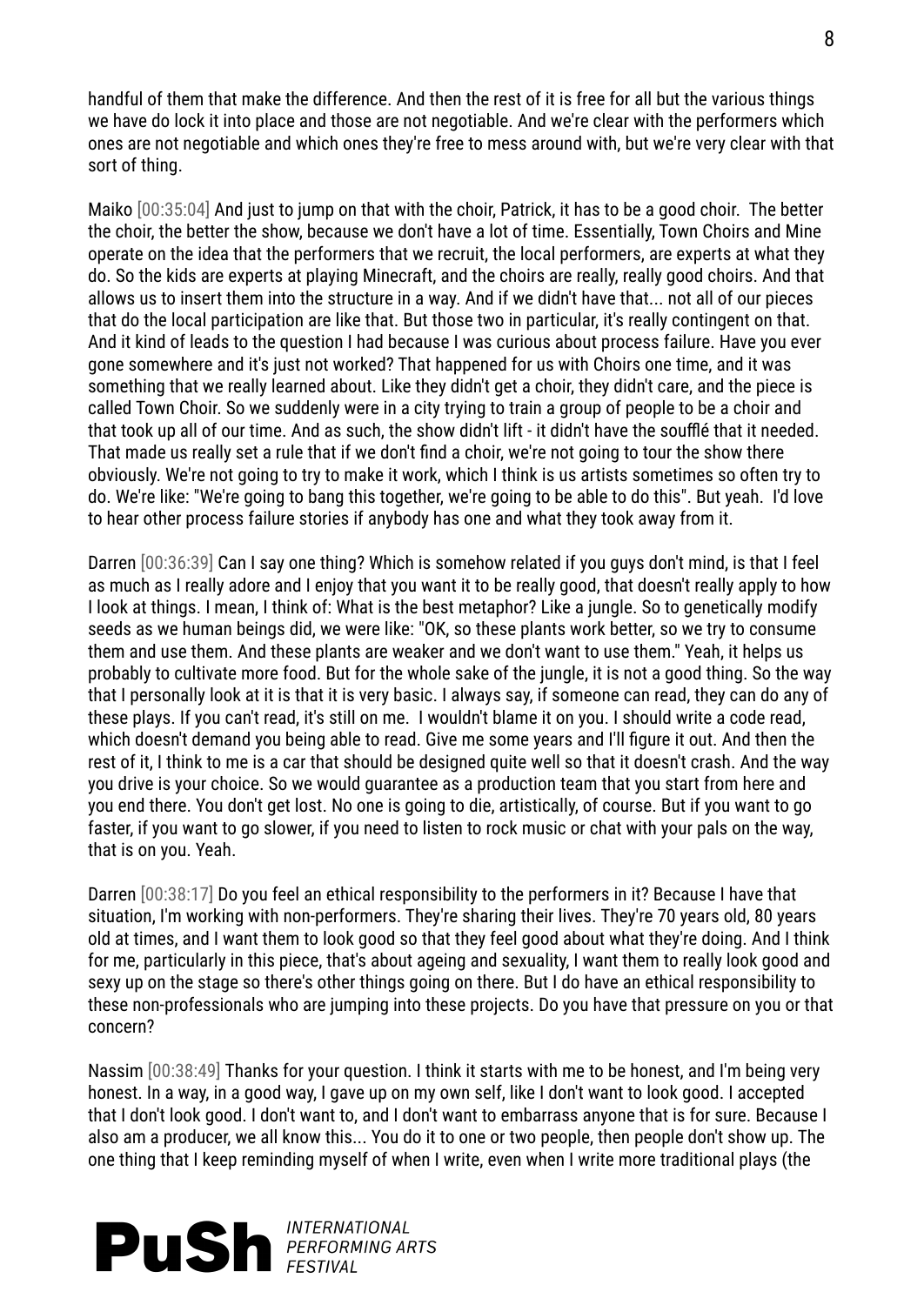handful of them that make the difference. And then the rest of it is free for all but the various things we have do lock it into place and those are not negotiable. And we're clear with the performers which ones are not negotiable and which ones they're free to mess around with, but we're very clear with that sort of thing.

Maiko [00:35:04] And just to jump on that with the choir, Patrick, it has to be a good choir. The better the choir, the better the show, because we don't have a lot of time. Essentially, Town Choirs and Mine operate on the idea that the performers that we recruit, the local performers, are experts at what they do. So the kids are experts at playing Minecraft, and the choirs are really, really good choirs. And that allows us to insert them into the structure in a way. And if we didn't have that... not all of our pieces that do the local participation are like that. But those two in particular, it's really contingent on that. And it kind of leads to the question I had because I was curious about process failure. Have you ever gone somewhere and it's just not worked? That happened for us with Choirs one time, and it was something that we really learned about. Like they didn't get a choir, they didn't care, and the piece is called Town Choir. So we suddenly were in a city trying to train a group of people to be a choir and that took up all of our time. And as such, the show didn't lift - it didn't have the soufflé that it needed. That made us really set a rule that if we don't find a choir, we're not going to tour the show there obviously. We're not going to try to make it work, which I think is us artists sometimes so often try to do. We're like: "We're going to bang this together, we're going to be able to do this". But yeah. I'd love to hear other process failure stories if anybody has one and what they took away from it.

Darren [00:36:39] Can I say one thing? Which is somehow related if you guys don't mind, is that I feel as much as I really adore and I enjoy that you want it to be really good, that doesn't really apply to how I look at things. I mean, I think of: What is the best metaphor? Like a jungle. So to genetically modify seeds as we human beings did, we were like: "OK, so these plants work better, so we try to consume them and use them. And these plants are weaker and we don't want to use them." Yeah, it helps us probably to cultivate more food. But for the whole sake of the jungle, it is not a good thing. So the way that I personally look at it is that it is very basic. I always say, if someone can read, they can do any of these plays. If you can't read, it's still on me. I wouldn't blame it on you. I should write a code read, which doesn't demand you being able to read. Give me some years and I'll figure it out. And then the rest of it, I think to me is a car that should be designed quite well so that it doesn't crash. And the way you drive is your choice. So we would guarantee as a production team that you start from here and you end there. You don't get lost. No one is going to die, artistically, of course. But if you want to go faster, if you want to go slower, if you need to listen to rock music or chat with your pals on the way, that is on you. Yeah.

Darren [00:38:17] Do you feel an ethical responsibility to the performers in it? Because I have that situation, I'm working with non-performers. They're sharing their lives. They're 70 years old, 80 years old at times, and I want them to look good so that they feel good about what they're doing. And I think for me, particularly in this piece, that's about ageing and sexuality, I want them to really look good and sexy up on the stage so there's other things going on there. But I do have an ethical responsibility to these non-professionals who are jumping into these projects. Do you have that pressure on you or that concern?

Nassim [00:38:49] Thanks for your question. I think it starts with me to be honest, and I'm being very honest. In a way, in a good way, I gave up on my own self, like I don't want to look good. I accepted that I don't look good. I don't want to, and I don't want to embarrass anyone that is for sure. Because I also am a producer, we all know this... You do it to one or two people, then people don't show up. The one thing that I keep reminding myself of when I write, even when I write more traditional plays (the

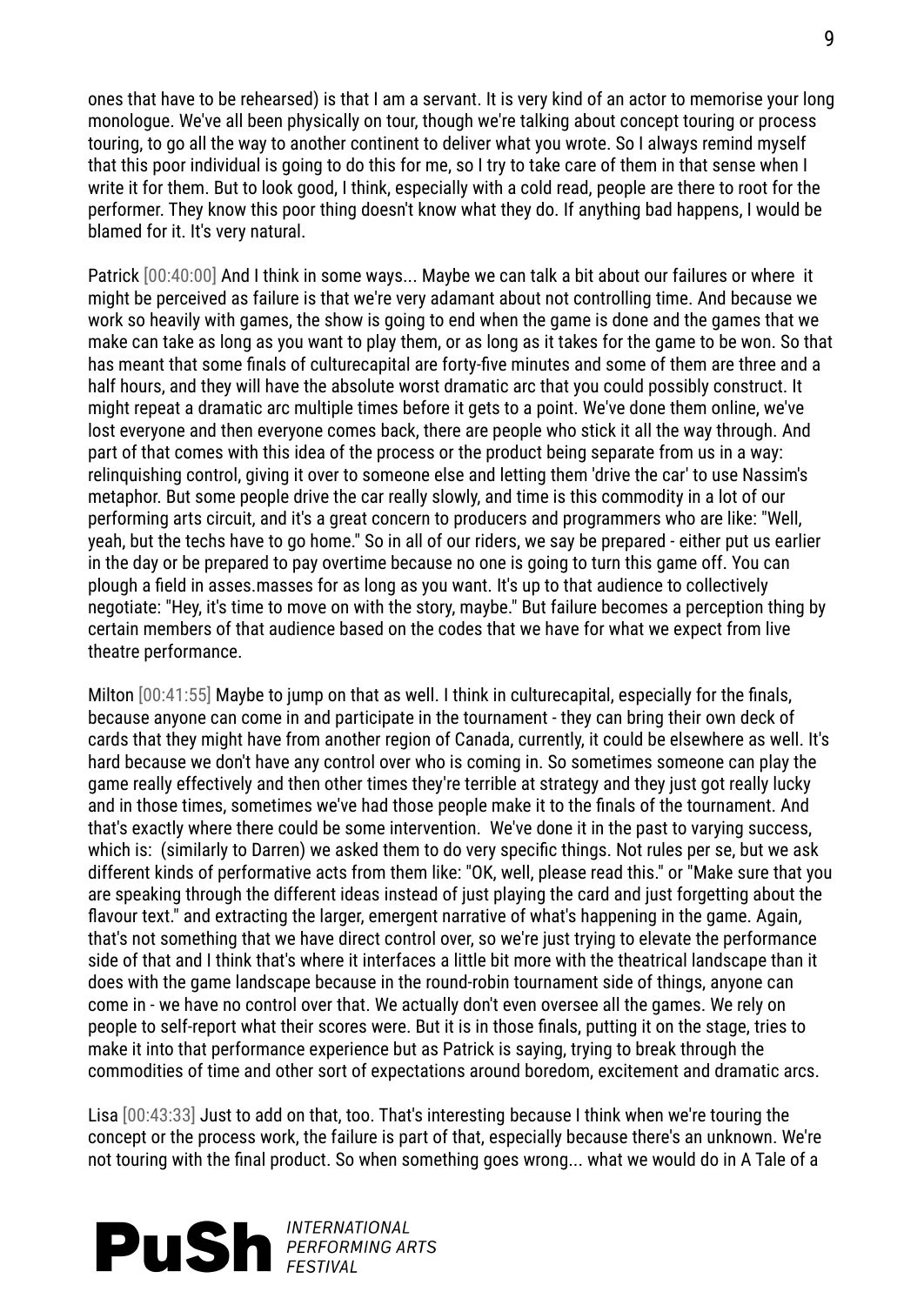ones that have to be rehearsed) is that I am a servant. It is very kind of an actor to memorise your long monologue. We've all been physically on tour, though we're talking about concept touring or process touring, to go all the way to another continent to deliver what you wrote. So I always remind myself that this poor individual is going to do this for me, so I try to take care of them in that sense when I write it for them. But to look good, I think, especially with a cold read, people are there to root for the performer. They know this poor thing doesn't know what they do. If anything bad happens, I would be blamed for it. It's very natural.

Patrick [00:40:00] And I think in some ways... Maybe we can talk a bit about our failures or where it might be perceived as failure is that we're very adamant about not controlling time. And because we work so heavily with games, the show is going to end when the game is done and the games that we make can take as long as you want to play them, or as long as it takes for the game to be won. So that has meant that some finals of culturecapital are forty-five minutes and some of them are three and a half hours, and they will have the absolute worst dramatic arc that you could possibly construct. It might repeat a dramatic arc multiple times before it gets to a point. We've done them online, we've lost everyone and then everyone comes back, there are people who stick it all the way through. And part of that comes with this idea of the process or the product being separate from us in a way: relinquishing control, giving it over to someone else and letting them 'drive the car' to use Nassim's metaphor. But some people drive the car really slowly, and time is this commodity in a lot of our performing arts circuit, and it's a great concern to producers and programmers who are like: "Well, yeah, but the techs have to go home." So in all of our riders, we say be prepared - either put us earlier in the day or be prepared to pay overtime because no one is going to turn this game off. You can plough a field in asses.masses for as long as you want. It's up to that audience to collectively negotiate: "Hey, it's time to move on with the story, maybe." But failure becomes a perception thing by certain members of that audience based on the codes that we have for what we expect from live theatre performance.

Milton [00:41:55] Maybe to jump on that as well. I think in culturecapital, especially for the finals, because anyone can come in and participate in the tournament - they can bring their own deck of cards that they might have from another region of Canada, currently, it could be elsewhere as well. It's hard because we don't have any control over who is coming in. So sometimes someone can play the game really effectively and then other times they're terrible at strategy and they just got really lucky and in those times, sometimes we've had those people make it to the finals of the tournament. And that's exactly where there could be some intervention. We've done it in the past to varying success, which is: (similarly to Darren) we asked them to do very specific things. Not rules per se, but we ask different kinds of performative acts from them like: "OK, well, please read this." or "Make sure that you are speaking through the different ideas instead of just playing the card and just forgetting about the flavour text." and extracting the larger, emergent narrative of what's happening in the game. Again, that's not something that we have direct control over, so we're just trying to elevate the performance side of that and I think that's where it interfaces a little bit more with the theatrical landscape than it does with the game landscape because in the round-robin tournament side of things, anyone can come in - we have no control over that. We actually don't even oversee all the games. We rely on people to self-report what their scores were. But it is in those finals, putting it on the stage, tries to make it into that performance experience but as Patrick is saying, trying to break through the commodities of time and other sort of expectations around boredom, excitement and dramatic arcs.

Lisa [00:43:33] Just to add on that, too. That's interesting because I think when we're touring the concept or the process work, the failure is part of that, especially because there's an unknown. We're not touring with the final product. So when something goes wrong... what we would do in A Tale of a

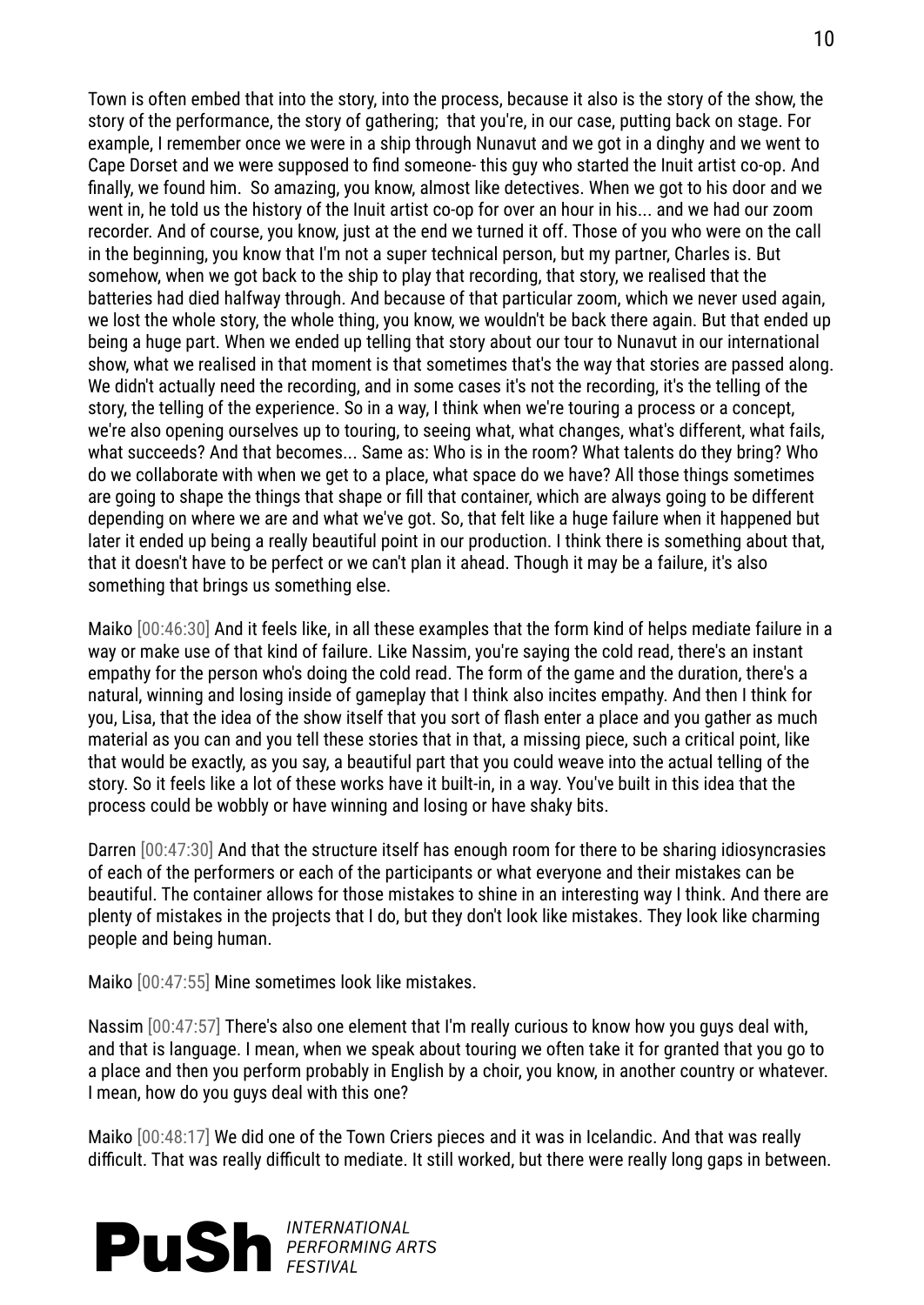Town is often embed that into the story, into the process, because it also is the story of the show, the story of the performance, the story of gathering; that you're, in our case, putting back on stage. For example, I remember once we were in a ship through Nunavut and we got in a dinghy and we went to Cape Dorset and we were supposed to find someone- this guy who started the Inuit artist co-op. And finally, we found him. So amazing, you know, almost like detectives. When we got to his door and we went in, he told us the history of the Inuit artist co-op for over an hour in his... and we had our zoom recorder. And of course, you know, just at the end we turned it off. Those of you who were on the call in the beginning, you know that I'm not a super technical person, but my partner, Charles is. But somehow, when we got back to the ship to play that recording, that story, we realised that the batteries had died halfway through. And because of that particular zoom, which we never used again, we lost the whole story, the whole thing, you know, we wouldn't be back there again. But that ended up being a huge part. When we ended up telling that story about our tour to Nunavut in our international show, what we realised in that moment is that sometimes that's the way that stories are passed along. We didn't actually need the recording, and in some cases it's not the recording, it's the telling of the story, the telling of the experience. So in a way, I think when we're touring a process or a concept, we're also opening ourselves up to touring, to seeing what, what changes, what's different, what fails, what succeeds? And that becomes... Same as: Who is in the room? What talents do they bring? Who do we collaborate with when we get to a place, what space do we have? All those things sometimes are going to shape the things that shape or fill that container, which are always going to be different depending on where we are and what we've got. So, that felt like a huge failure when it happened but later it ended up being a really beautiful point in our production. I think there is something about that, that it doesn't have to be perfect or we can't plan it ahead. Though it may be a failure, it's also something that brings us something else.

Maiko [00:46:30] And it feels like, in all these examples that the form kind of helps mediate failure in a way or make use of that kind of failure. Like Nassim, you're saying the cold read, there's an instant empathy for the person who's doing the cold read. The form of the game and the duration, there's a natural, winning and losing inside of gameplay that I think also incites empathy. And then I think for you, Lisa, that the idea of the show itself that you sort of flash enter a place and you gather as much material as you can and you tell these stories that in that, a missing piece, such a critical point, like that would be exactly, as you say, a beautiful part that you could weave into the actual telling of the story. So it feels like a lot of these works have it built-in, in a way. You've built in this idea that the process could be wobbly or have winning and losing or have shaky bits.

Darren [00:47:30] And that the structure itself has enough room for there to be sharing idiosyncrasies of each of the performers or each of the participants or what everyone and their mistakes can be beautiful. The container allows for those mistakes to shine in an interesting way I think. And there are plenty of mistakes in the projects that I do, but they don't look like mistakes. They look like charming people and being human.

Maiko [00:47:55] Mine sometimes look like mistakes.

Nassim [00:47:57] There's also one element that I'm really curious to know how you guys deal with, and that is language. I mean, when we speak about touring we often take it for granted that you go to a place and then you perform probably in English by a choir, you know, in another country or whatever. I mean, how do you guys deal with this one?

Maiko [00:48:17] We did one of the Town Criers pieces and it was in Icelandic. And that was really difficult. That was really difficult to mediate. It still worked, but there were really long gaps in between.

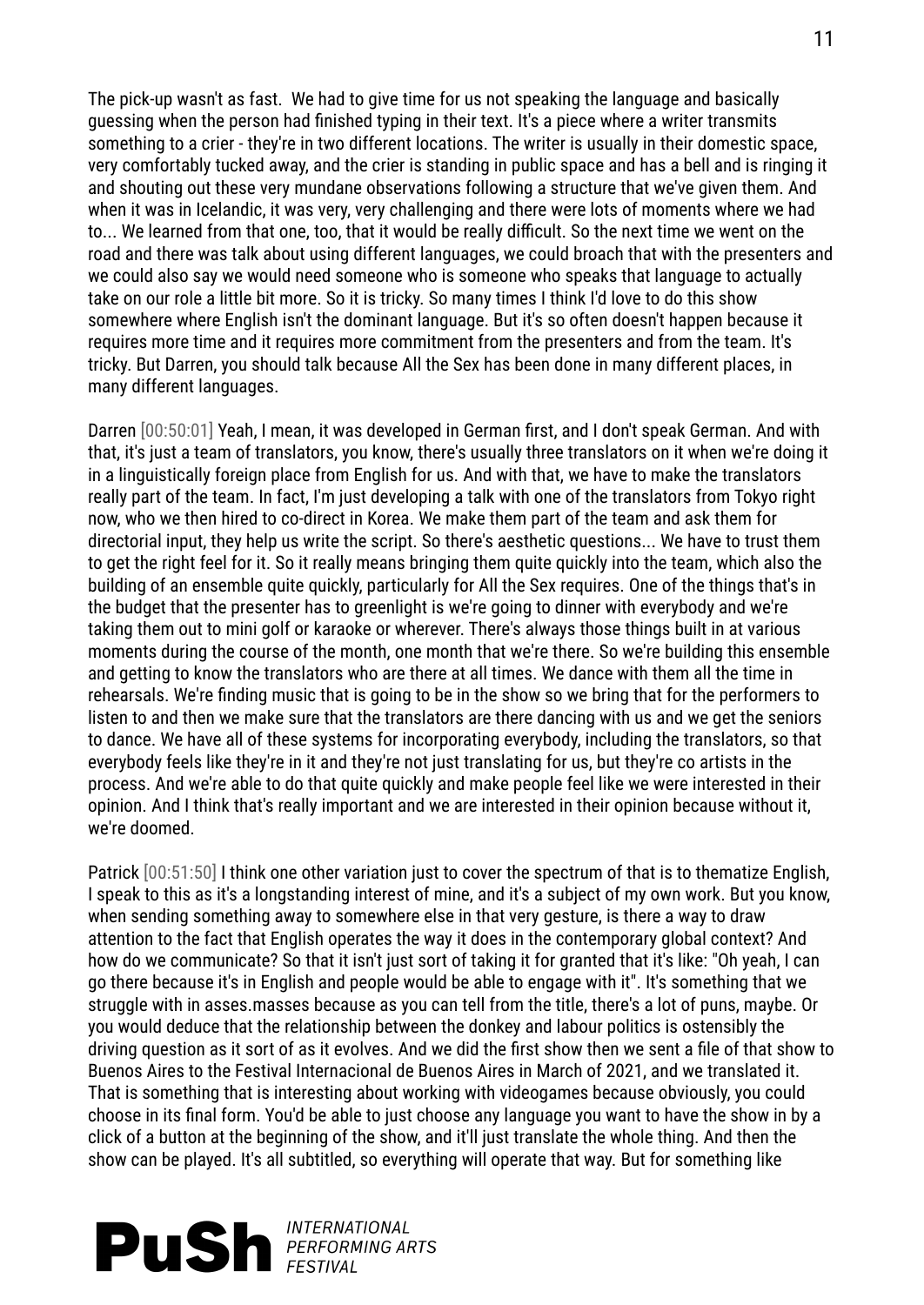The pick-up wasn't as fast. We had to give time for us not speaking the language and basically guessing when the person had finished typing in their text. It's a piece where a writer transmits something to a crier - they're in two different locations. The writer is usually in their domestic space, very comfortably tucked away, and the crier is standing in public space and has a bell and is ringing it and shouting out these very mundane observations following a structure that we've given them. And when it was in Icelandic, it was very, very challenging and there were lots of moments where we had to... We learned from that one, too, that it would be really difficult. So the next time we went on the road and there was talk about using different languages, we could broach that with the presenters and we could also say we would need someone who is someone who speaks that language to actually take on our role a little bit more. So it is tricky. So many times I think I'd love to do this show somewhere where English isn't the dominant language. But it's so often doesn't happen because it requires more time and it requires more commitment from the presenters and from the team. It's tricky. But Darren, you should talk because All the Sex has been done in many different places, in many different languages.

Darren [00:50:01] Yeah, I mean, it was developed in German first, and I don't speak German. And with that, it's just a team of translators, you know, there's usually three translators on it when we're doing it in a linguistically foreign place from English for us. And with that, we have to make the translators really part of the team. In fact, I'm just developing a talk with one of the translators from Tokyo right now, who we then hired to co-direct in Korea. We make them part of the team and ask them for directorial input, they help us write the script. So there's aesthetic questions... We have to trust them to get the right feel for it. So it really means bringing them quite quickly into the team, which also the building of an ensemble quite quickly, particularly for All the Sex requires. One of the things that's in the budget that the presenter has to greenlight is we're going to dinner with everybody and we're taking them out to mini golf or karaoke or wherever. There's always those things built in at various moments during the course of the month, one month that we're there. So we're building this ensemble and getting to know the translators who are there at all times. We dance with them all the time in rehearsals. We're finding music that is going to be in the show so we bring that for the performers to listen to and then we make sure that the translators are there dancing with us and we get the seniors to dance. We have all of these systems for incorporating everybody, including the translators, so that everybody feels like they're in it and they're not just translating for us, but they're co artists in the process. And we're able to do that quite quickly and make people feel like we were interested in their opinion. And I think that's really important and we are interested in their opinion because without it, we're doomed.

Patrick [00:51:50] I think one other variation just to cover the spectrum of that is to thematize English. I speak to this as it's a longstanding interest of mine, and it's a subject of my own work. But you know, when sending something away to somewhere else in that very gesture, is there a way to draw attention to the fact that English operates the way it does in the contemporary global context? And how do we communicate? So that it isn't just sort of taking it for granted that it's like: "Oh yeah, I can go there because it's in English and people would be able to engage with it". It's something that we struggle with in asses.masses because as you can tell from the title, there's a lot of puns, maybe. Or you would deduce that the relationship between the donkey and labour politics is ostensibly the driving question as it sort of as it evolves. And we did the first show then we sent a file of that show to Buenos Aires to the Festival Internacional de Buenos Aires in March of 2021, and we translated it. That is something that is interesting about working with videogames because obviously, you could choose in its final form. You'd be able to just choose any language you want to have the show in by a click of a button at the beginning of the show, and it'll just translate the whole thing. And then the show can be played. It's all subtitled, so everything will operate that way. But for something like

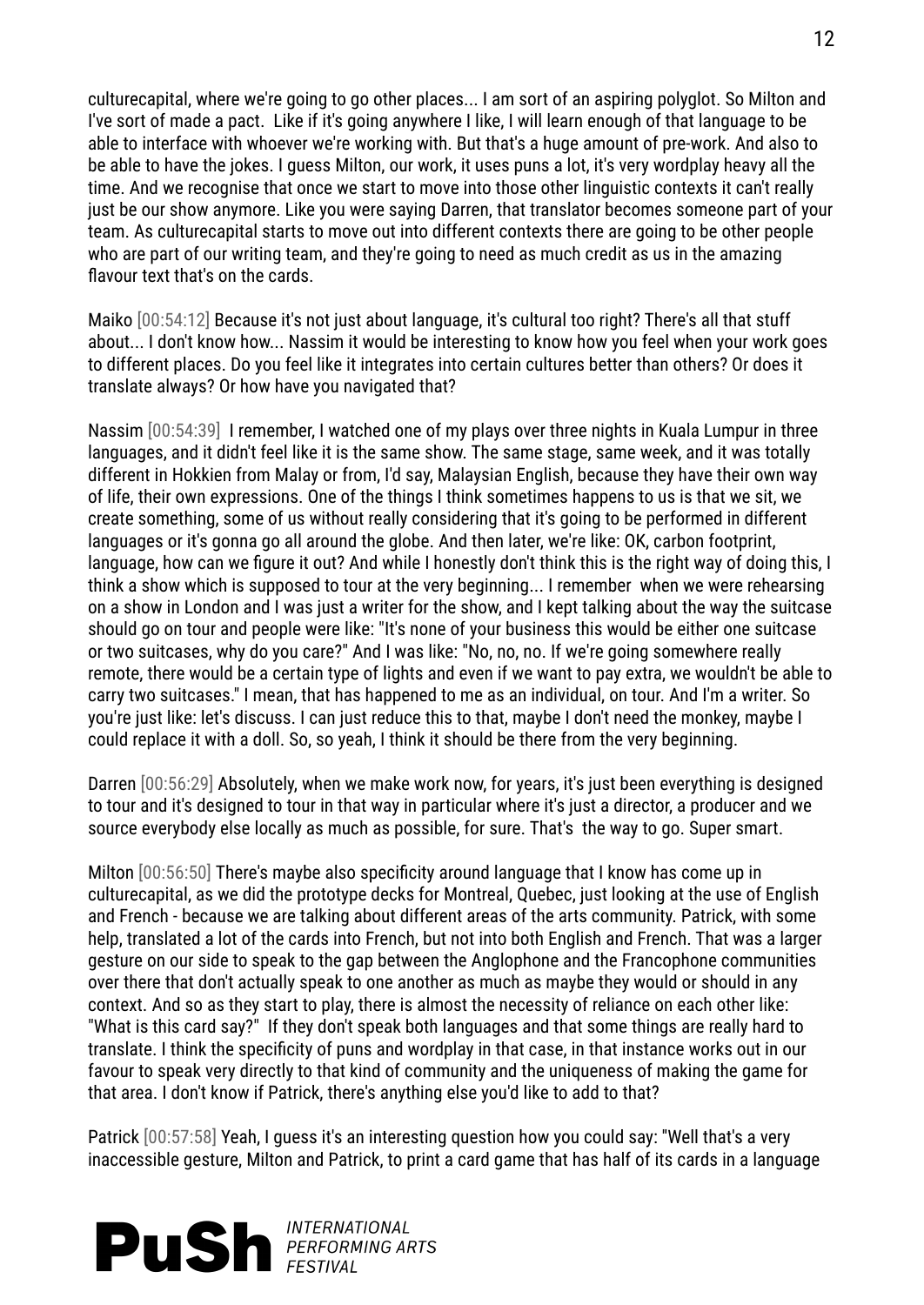culturecapital, where we're going to go other places... I am sort of an aspiring polyglot. So Milton and I've sort of made a pact. Like if it's going anywhere I like, I will learn enough of that language to be able to interface with whoever we're working with. But that's a huge amount of pre-work. And also to be able to have the jokes. I guess Milton, our work, it uses puns a lot, it's very wordplay heavy all the time. And we recognise that once we start to move into those other linguistic contexts it can't really just be our show anymore. Like you were saying Darren, that translator becomes someone part of your team. As culturecapital starts to move out into different contexts there are going to be other people who are part of our writing team, and they're going to need as much credit as us in the amazing flavour text that's on the cards.

Maiko [00:54:12] Because it's not just about language, it's cultural too right? There's all that stuff about... I don't know how... Nassim it would be interesting to know how you feel when your work goes to different places. Do you feel like it integrates into certain cultures better than others? Or does it translate always? Or how have you navigated that?

Nassim [00:54:39] I remember, I watched one of my plays over three nights in Kuala Lumpur in three languages, and it didn't feel like it is the same show. The same stage, same week, and it was totally different in Hokkien from Malay or from, I'd say, Malaysian English, because they have their own way of life, their own expressions. One of the things I think sometimes happens to us is that we sit, we create something, some of us without really considering that it's going to be performed in different languages or it's gonna go all around the globe. And then later, we're like: OK, carbon footprint, language, how can we figure it out? And while I honestly don't think this is the right way of doing this, I think a show which is supposed to tour at the very beginning... I remember when we were rehearsing on a show in London and I was just a writer for the show, and I kept talking about the way the suitcase should go on tour and people were like: "It's none of your business this would be either one suitcase or two suitcases, why do you care?" And I was like: "No, no, no. If we're going somewhere really remote, there would be a certain type of lights and even if we want to pay extra, we wouldn't be able to carry two suitcases." I mean, that has happened to me as an individual, on tour. And I'm a writer. So you're just like: let's discuss. I can just reduce this to that, maybe I don't need the monkey, maybe I could replace it with a doll. So, so yeah, I think it should be there from the very beginning.

Darren [00:56:29] Absolutely, when we make work now, for years, it's just been everything is designed to tour and it's designed to tour in that way in particular where it's just a director, a producer and we source everybody else locally as much as possible, for sure. That's the way to go. Super smart.

Milton [00:56:50] There's maybe also specificity around language that I know has come up in culturecapital, as we did the prototype decks for Montreal, Quebec, just looking at the use of English and French - because we are talking about different areas of the arts community. Patrick, with some help, translated a lot of the cards into French, but not into both English and French. That was a larger gesture on our side to speak to the gap between the Anglophone and the Francophone communities over there that don't actually speak to one another as much as maybe they would or should in any context. And so as they start to play, there is almost the necessity of reliance on each other like: "What is this card say?" If they don't speak both languages and that some things are really hard to translate. I think the specificity of puns and wordplay in that case, in that instance works out in our favour to speak very directly to that kind of community and the uniqueness of making the game for that area. I don't know if Patrick, there's anything else you'd like to add to that?

Patrick [00:57:58] Yeah, I guess it's an interesting question how you could say: "Well that's a very inaccessible gesture, Milton and Patrick, to print a card game that has half of its cards in a language

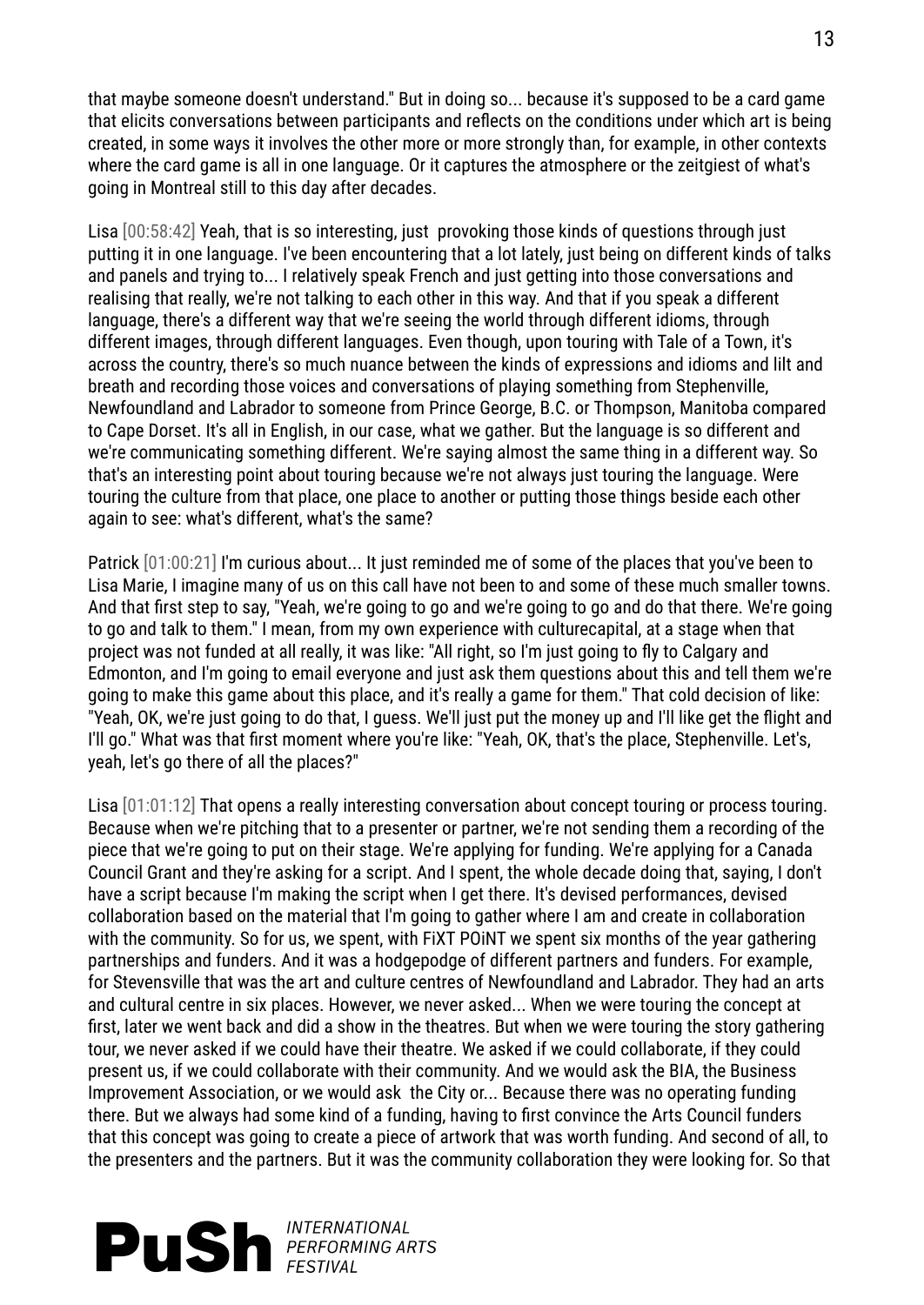that maybe someone doesn't understand." But in doing so... because it's supposed to be a card game that elicits conversations between participants and reflects on the conditions under which art is being created, in some ways it involves the other more or more strongly than, for example, in other contexts where the card game is all in one language. Or it captures the atmosphere or the zeitgiest of what's going in Montreal still to this day after decades.

Lisa [00:58:42] Yeah, that is so interesting, just provoking those kinds of questions through just putting it in one language. I've been encountering that a lot lately, just being on different kinds of talks and panels and trying to... I relatively speak French and just getting into those conversations and realising that really, we're not talking to each other in this way. And that if you speak a different language, there's a different way that we're seeing the world through different idioms, through different images, through different languages. Even though, upon touring with Tale of a Town, it's across the country, there's so much nuance between the kinds of expressions and idioms and lilt and breath and recording those voices and conversations of playing something from Stephenville, Newfoundland and Labrador to someone from Prince George, B.C. or Thompson, Manitoba compared to Cape Dorset. It's all in English, in our case, what we gather. But the language is so different and we're communicating something different. We're saying almost the same thing in a different way. So that's an interesting point about touring because we're not always just touring the language. Were touring the culture from that place, one place to another or putting those things beside each other again to see: what's different, what's the same?

Patrick [01:00:21] I'm curious about... It just reminded me of some of the places that you've been to Lisa Marie, I imagine many of us on this call have not been to and some of these much smaller towns. And that first step to say, "Yeah, we're going to go and we're going to go and do that there. We're going to go and talk to them." I mean, from my own experience with culturecapital, at a stage when that project was not funded at all really, it was like: "All right, so I'm just going to fly to Calgary and Edmonton, and I'm going to email everyone and just ask them questions about this and tell them we're going to make this game about this place, and it's really a game for them." That cold decision of like: "Yeah, OK, we're just going to do that, I guess. We'll just put the money up and I'll like get the flight and I'll go." What was that first moment where you're like: "Yeah, OK, that's the place, Stephenville. Let's, yeah, let's go there of all the places?"

Lisa [01:01:12] That opens a really interesting conversation about concept touring or process touring. Because when we're pitching that to a presenter or partner, we're not sending them a recording of the piece that we're going to put on their stage. We're applying for funding. We're applying for a Canada Council Grant and they're asking for a script. And I spent, the whole decade doing that, saying, I don't have a script because I'm making the script when I get there. It's devised performances, devised collaboration based on the material that I'm going to gather where I am and create in collaboration with the community. So for us, we spent, with FiXT POiNT we spent six months of the year gathering partnerships and funders. And it was a hodgepodge of different partners and funders. For example, for Stevensville that was the art and culture centres of Newfoundland and Labrador. They had an arts and cultural centre in six places. However, we never asked... When we were touring the concept at first, later we went back and did a show in the theatres. But when we were touring the story gathering tour, we never asked if we could have their theatre. We asked if we could collaborate, if they could present us, if we could collaborate with their community. And we would ask the BIA, the Business Improvement Association, or we would ask the City or... Because there was no operating funding there. But we always had some kind of a funding, having to first convince the Arts Council funders that this concept was going to create a piece of artwork that was worth funding. And second of all, to the presenters and the partners. But it was the community collaboration they were looking for. So that

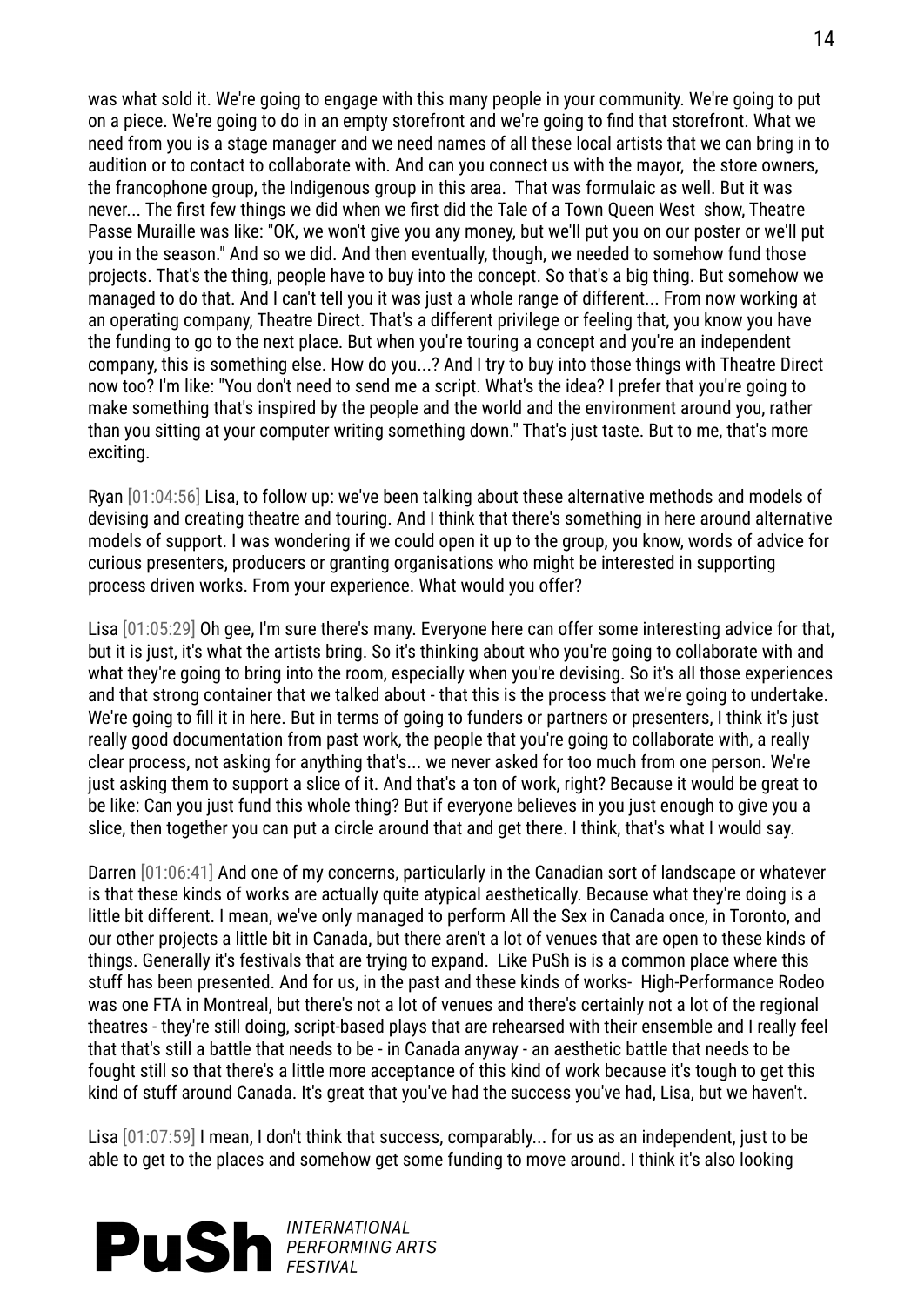was what sold it. We're going to engage with this many people in your community. We're going to put on a piece. We're going to do in an empty storefront and we're going to find that storefront. What we need from you is a stage manager and we need names of all these local artists that we can bring in to audition or to contact to collaborate with. And can you connect us with the mayor, the store owners, the francophone group, the Indigenous group in this area. That was formulaic as well. But it was never... The first few things we did when we first did the Tale of a Town Queen West show, Theatre Passe Muraille was like: "OK, we won't give you any money, but we'll put you on our poster or we'll put you in the season." And so we did. And then eventually, though, we needed to somehow fund those projects. That's the thing, people have to buy into the concept. So that's a big thing. But somehow we managed to do that. And I can't tell you it was just a whole range of different... From now working at an operating company, Theatre Direct. That's a different privilege or feeling that, you know you have the funding to go to the next place. But when you're touring a concept and you're an independent company, this is something else. How do you...? And I try to buy into those things with Theatre Direct now too? I'm like: "You don't need to send me a script. What's the idea? I prefer that you're going to make something that's inspired by the people and the world and the environment around you, rather than you sitting at your computer writing something down." That's just taste. But to me, that's more exciting.

Ryan [01:04:56] Lisa, to follow up: we've been talking about these alternative methods and models of devising and creating theatre and touring. And I think that there's something in here around alternative models of support. I was wondering if we could open it up to the group, you know, words of advice for curious presenters, producers or granting organisations who might be interested in supporting process driven works. From your experience. What would you offer?

Lisa [01:05:29] Oh gee, I'm sure there's many. Everyone here can offer some interesting advice for that, but it is just, it's what the artists bring. So it's thinking about who you're going to collaborate with and what they're going to bring into the room, especially when you're devising. So it's all those experiences and that strong container that we talked about - that this is the process that we're going to undertake. We're going to fill it in here. But in terms of going to funders or partners or presenters, I think it's just really good documentation from past work, the people that you're going to collaborate with, a really clear process, not asking for anything that's... we never asked for too much from one person. We're just asking them to support a slice of it. And that's a ton of work, right? Because it would be great to be like: Can you just fund this whole thing? But if everyone believes in you just enough to give you a slice, then together you can put a circle around that and get there. I think, that's what I would say.

Darren [01:06:41] And one of my concerns, particularly in the Canadian sort of landscape or whatever is that these kinds of works are actually quite atypical aesthetically. Because what they're doing is a little bit different. I mean, we've only managed to perform All the Sex in Canada once, in Toronto, and our other projects a little bit in Canada, but there aren't a lot of venues that are open to these kinds of things. Generally it's festivals that are trying to expand. Like PuSh is is a common place where this stuff has been presented. And for us, in the past and these kinds of works- High-Performance Rodeo was one FTA in Montreal, but there's not a lot of venues and there's certainly not a lot of the regional theatres - they're still doing, script-based plays that are rehearsed with their ensemble and I really feel that that's still a battle that needs to be - in Canada anyway - an aesthetic battle that needs to be fought still so that there's a little more acceptance of this kind of work because it's tough to get this kind of stuff around Canada. It's great that you've had the success you've had, Lisa, but we haven't.

Lisa [01:07:59] I mean, I don't think that success, comparably... for us as an independent, just to be able to get to the places and somehow get some funding to move around. I think it's also looking

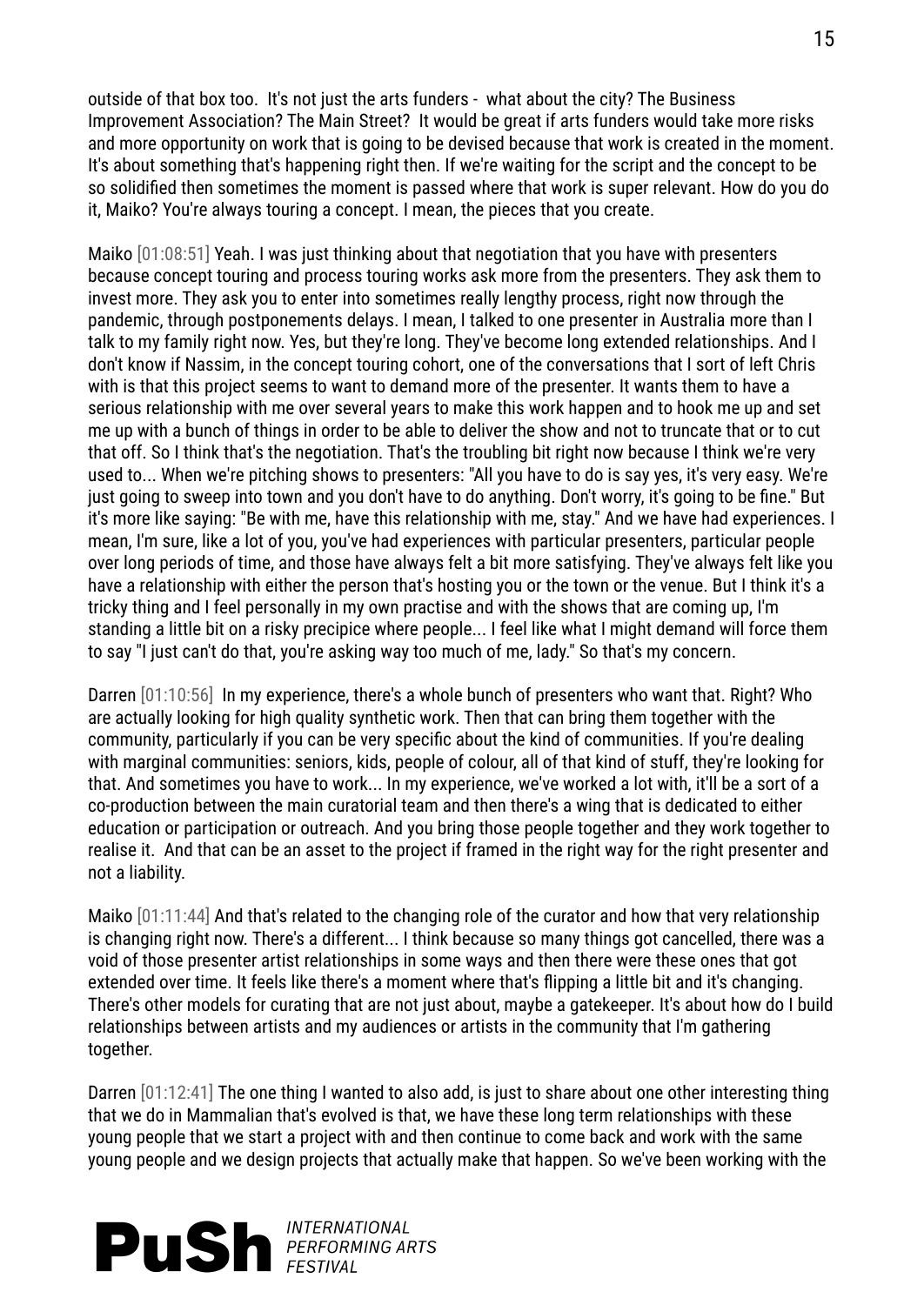outside of that box too. It's not just the arts funders - what about the city? The Business Improvement Association? The Main Street? It would be great if arts funders would take more risks and more opportunity on work that is going to be devised because that work is created in the moment. It's about something that's happening right then. If we're waiting for the script and the concept to be so solidified then sometimes the moment is passed where that work is super relevant. How do you do it, Maiko? You're always touring a concept. I mean, the pieces that you create.

Maiko [01:08:51] Yeah. I was just thinking about that negotiation that you have with presenters because concept touring and process touring works ask more from the presenters. They ask them to invest more. They ask you to enter into sometimes really lengthy process, right now through the pandemic, through postponements delays. I mean, I talked to one presenter in Australia more than I talk to my family right now. Yes, but they're long. They've become long extended relationships. And I don't know if Nassim, in the concept touring cohort, one of the conversations that I sort of left Chris with is that this project seems to want to demand more of the presenter. It wants them to have a serious relationship with me over several years to make this work happen and to hook me up and set me up with a bunch of things in order to be able to deliver the show and not to truncate that or to cut that off. So I think that's the negotiation. That's the troubling bit right now because I think we're very used to... When we're pitching shows to presenters: "All you have to do is say yes, it's very easy. We're just going to sweep into town and you don't have to do anything. Don't worry, it's going to be fine." But it's more like saying: "Be with me, have this relationship with me, stay." And we have had experiences. I mean, I'm sure, like a lot of you, you've had experiences with particular presenters, particular people over long periods of time, and those have always felt a bit more satisfying. They've always felt like you have a relationship with either the person that's hosting you or the town or the venue. But I think it's a tricky thing and I feel personally in my own practise and with the shows that are coming up, I'm standing a little bit on a risky precipice where people... I feel like what I might demand will force them to say "I just can't do that, you're asking way too much of me, lady." So that's my concern.

Darren [01:10:56] In my experience, there's a whole bunch of presenters who want that. Right? Who are actually looking for high quality synthetic work. Then that can bring them together with the community, particularly if you can be very specific about the kind of communities. If you're dealing with marginal communities: seniors, kids, people of colour, all of that kind of stuff, they're looking for that. And sometimes you have to work... In my experience, we've worked a lot with, it'll be a sort of a co-production between the main curatorial team and then there's a wing that is dedicated to either education or participation or outreach. And you bring those people together and they work together to realise it. And that can be an asset to the project if framed in the right way for the right presenter and not a liability.

Maiko [01:11:44] And that's related to the changing role of the curator and how that very relationship is changing right now. There's a different... I think because so many things got cancelled, there was a void of those presenter artist relationships in some ways and then there were these ones that got extended over time. It feels like there's a moment where that's flipping a little bit and it's changing. There's other models for curating that are not just about, maybe a gatekeeper. It's about how do I build relationships between artists and my audiences or artists in the community that I'm gathering together.

Darren [01:12:41] The one thing I wanted to also add, is just to share about one other interesting thing that we do in Mammalian that's evolved is that, we have these long term relationships with these young people that we start a project with and then continue to come back and work with the same young people and we design projects that actually make that happen. So we've been working with the

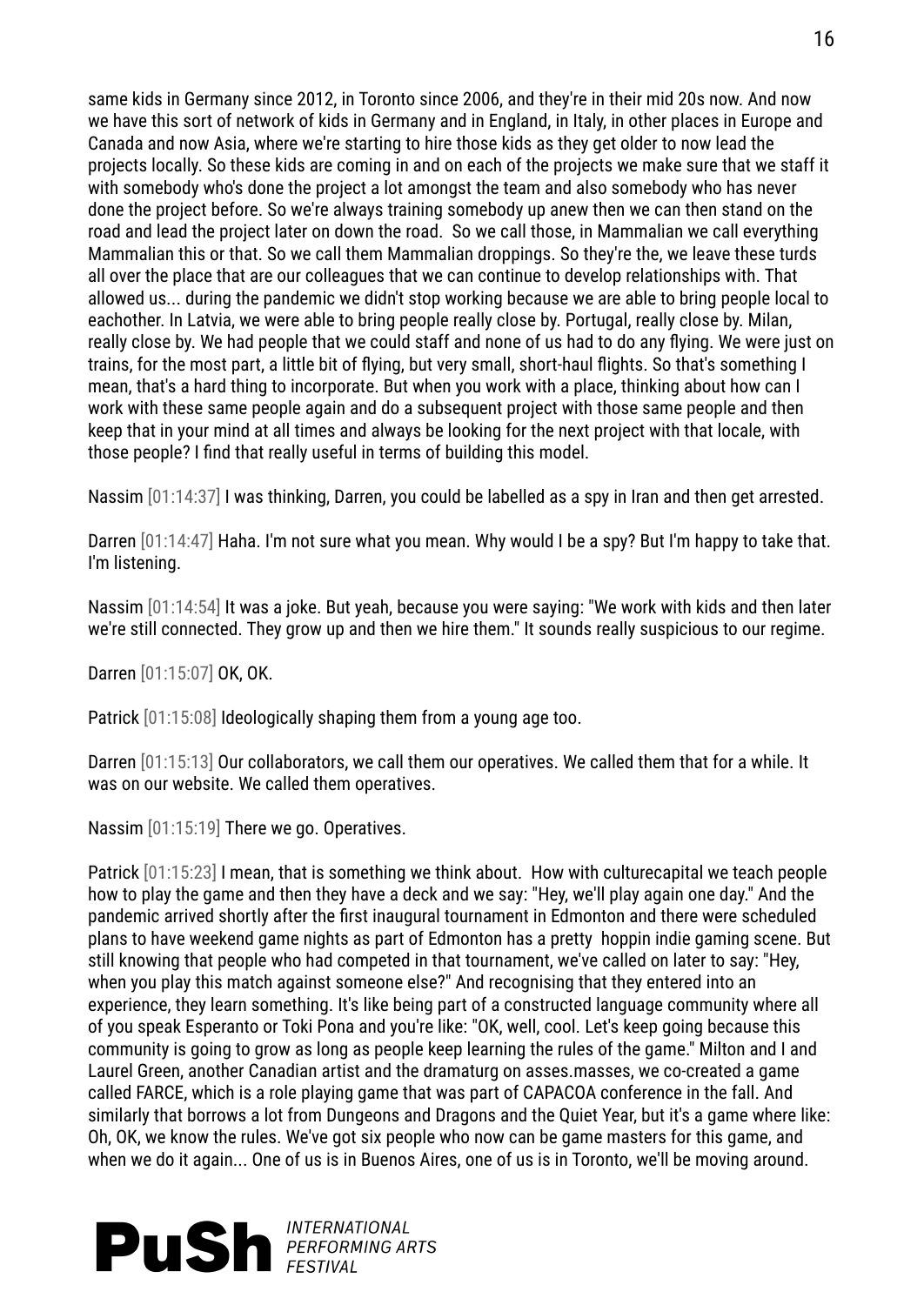same kids in Germany since 2012, in Toronto since 2006, and they're in their mid 20s now. And now we have this sort of network of kids in Germany and in England, in Italy, in other places in Europe and Canada and now Asia, where we're starting to hire those kids as they get older to now lead the projects locally. So these kids are coming in and on each of the projects we make sure that we staff it with somebody who's done the project a lot amongst the team and also somebody who has never done the project before. So we're always training somebody up anew then we can then stand on the road and lead the project later on down the road. So we call those, in Mammalian we call everything Mammalian this or that. So we call them Mammalian droppings. So they're the, we leave these turds all over the place that are our colleagues that we can continue to develop relationships with. That allowed us... during the pandemic we didn't stop working because we are able to bring people local to eachother. In Latvia, we were able to bring people really close by. Portugal, really close by. Milan, really close by. We had people that we could staff and none of us had to do any flying. We were just on trains, for the most part, a little bit of flying, but very small, short-haul flights. So that's something I mean, that's a hard thing to incorporate. But when you work with a place, thinking about how can I work with these same people again and do a subsequent project with those same people and then keep that in your mind at all times and always be looking for the next project with that locale, with those people? I find that really useful in terms of building this model.

Nassim [01:14:37] I was thinking, Darren, you could be labelled as a spy in Iran and then get arrested.

Darren [01:14:47] Haha. I'm not sure what you mean. Why would I be a spy? But I'm happy to take that. I'm listening.

Nassim [01:14:54] It was a joke. But yeah, because you were saying: "We work with kids and then later we're still connected. They grow up and then we hire them." It sounds really suspicious to our regime.

Darren [01:15:07] OK, OK.

Patrick [01:15:08] Ideologically shaping them from a young age too.

Darren [01:15:13] Our collaborators, we call them our operatives. We called them that for a while. It was on our website. We called them operatives.

Nassim [01:15:19] There we go. Operatives.

Patrick [01:15:23] I mean, that is something we think about. How with culturecapital we teach people how to play the game and then they have a deck and we say: "Hey, we'll play again one day." And the pandemic arrived shortly after the first inaugural tournament in Edmonton and there were scheduled plans to have weekend game nights as part of Edmonton has a pretty hoppin indie gaming scene. But still knowing that people who had competed in that tournament, we've called on later to say: "Hey, when you play this match against someone else?" And recognising that they entered into an experience, they learn something. It's like being part of a constructed language community where all of you speak Esperanto or Toki Pona and you're like: "OK, well, cool. Let's keep going because this community is going to grow as long as people keep learning the rules of the game." Milton and I and Laurel Green, another Canadian artist and the dramaturg on asses.masses, we co-created a game called FARCE, which is a role playing game that was part of CAPACOA conference in the fall. And similarly that borrows a lot from Dungeons and Dragons and the Quiet Year, but it's a game where like: Oh, OK, we know the rules. We've got six people who now can be game masters for this game, and when we do it again... One of us is in Buenos Aires, one of us is in Toronto, we'll be moving around.

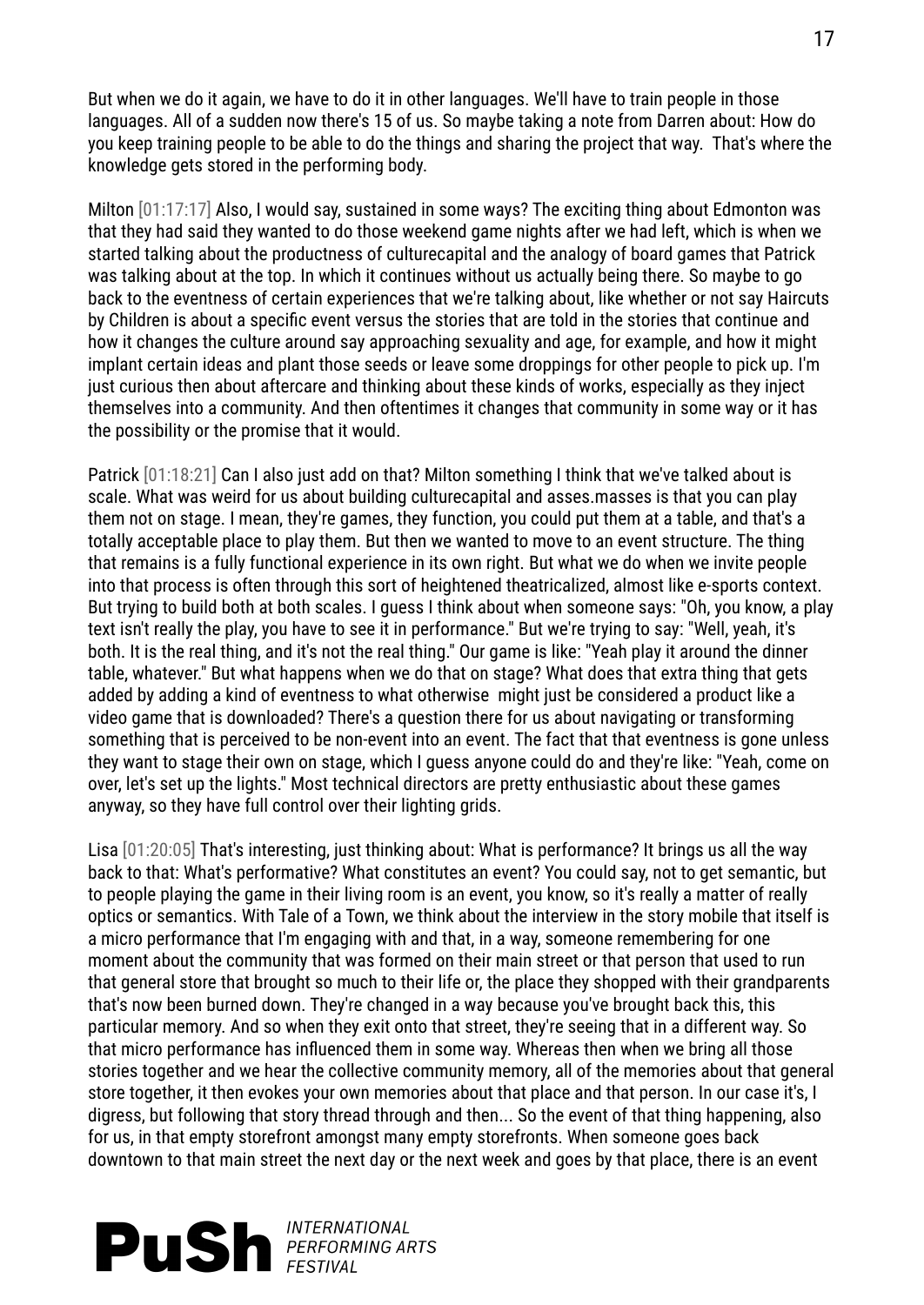But when we do it again, we have to do it in other languages. We'll have to train people in those languages. All of a sudden now there's 15 of us. So maybe taking a note from Darren about: How do you keep training people to be able to do the things and sharing the project that way. That's where the knowledge gets stored in the performing body.

Milton [01:17:17] Also, I would say, sustained in some ways? The exciting thing about Edmonton was that they had said they wanted to do those weekend game nights after we had left, which is when we started talking about the productness of culturecapital and the analogy of board games that Patrick was talking about at the top. In which it continues without us actually being there. So maybe to go back to the eventness of certain experiences that we're talking about, like whether or not say Haircuts by Children is about a specific event versus the stories that are told in the stories that continue and how it changes the culture around say approaching sexuality and age, for example, and how it might implant certain ideas and plant those seeds or leave some droppings for other people to pick up. I'm just curious then about aftercare and thinking about these kinds of works, especially as they inject themselves into a community. And then oftentimes it changes that community in some way or it has the possibility or the promise that it would.

Patrick [01:18:21] Can I also just add on that? Milton something I think that we've talked about is scale. What was weird for us about building culturecapital and asses.masses is that you can play them not on stage. I mean, they're games, they function, you could put them at a table, and that's a totally acceptable place to play them. But then we wanted to move to an event structure. The thing that remains is a fully functional experience in its own right. But what we do when we invite people into that process is often through this sort of heightened theatricalized, almost like e-sports context. But trying to build both at both scales. I guess I think about when someone says: "Oh, you know, a play text isn't really the play, you have to see it in performance." But we're trying to say: "Well, yeah, it's both. It is the real thing, and it's not the real thing." Our game is like: "Yeah play it around the dinner table, whatever." But what happens when we do that on stage? What does that extra thing that gets added by adding a kind of eventness to what otherwise might just be considered a product like a video game that is downloaded? There's a question there for us about navigating or transforming something that is perceived to be non-event into an event. The fact that that eventness is gone unless they want to stage their own on stage, which I guess anyone could do and they're like: "Yeah, come on over, let's set up the lights." Most technical directors are pretty enthusiastic about these games anyway, so they have full control over their lighting grids.

Lisa [01:20:05] That's interesting, just thinking about: What is performance? It brings us all the way back to that: What's performative? What constitutes an event? You could say, not to get semantic, but to people playing the game in their living room is an event, you know, so it's really a matter of really optics or semantics. With Tale of a Town, we think about the interview in the story mobile that itself is a micro performance that I'm engaging with and that, in a way, someone remembering for one moment about the community that was formed on their main street or that person that used to run that general store that brought so much to their life or, the place they shopped with their grandparents that's now been burned down. They're changed in a way because you've brought back this, this particular memory. And so when they exit onto that street, they're seeing that in a different way. So that micro performance has influenced them in some way. Whereas then when we bring all those stories together and we hear the collective community memory, all of the memories about that general store together, it then evokes your own memories about that place and that person. In our case it's, I digress, but following that story thread through and then... So the event of that thing happening, also for us, in that empty storefront amongst many empty storefronts. When someone goes back downtown to that main street the next day or the next week and goes by that place, there is an event

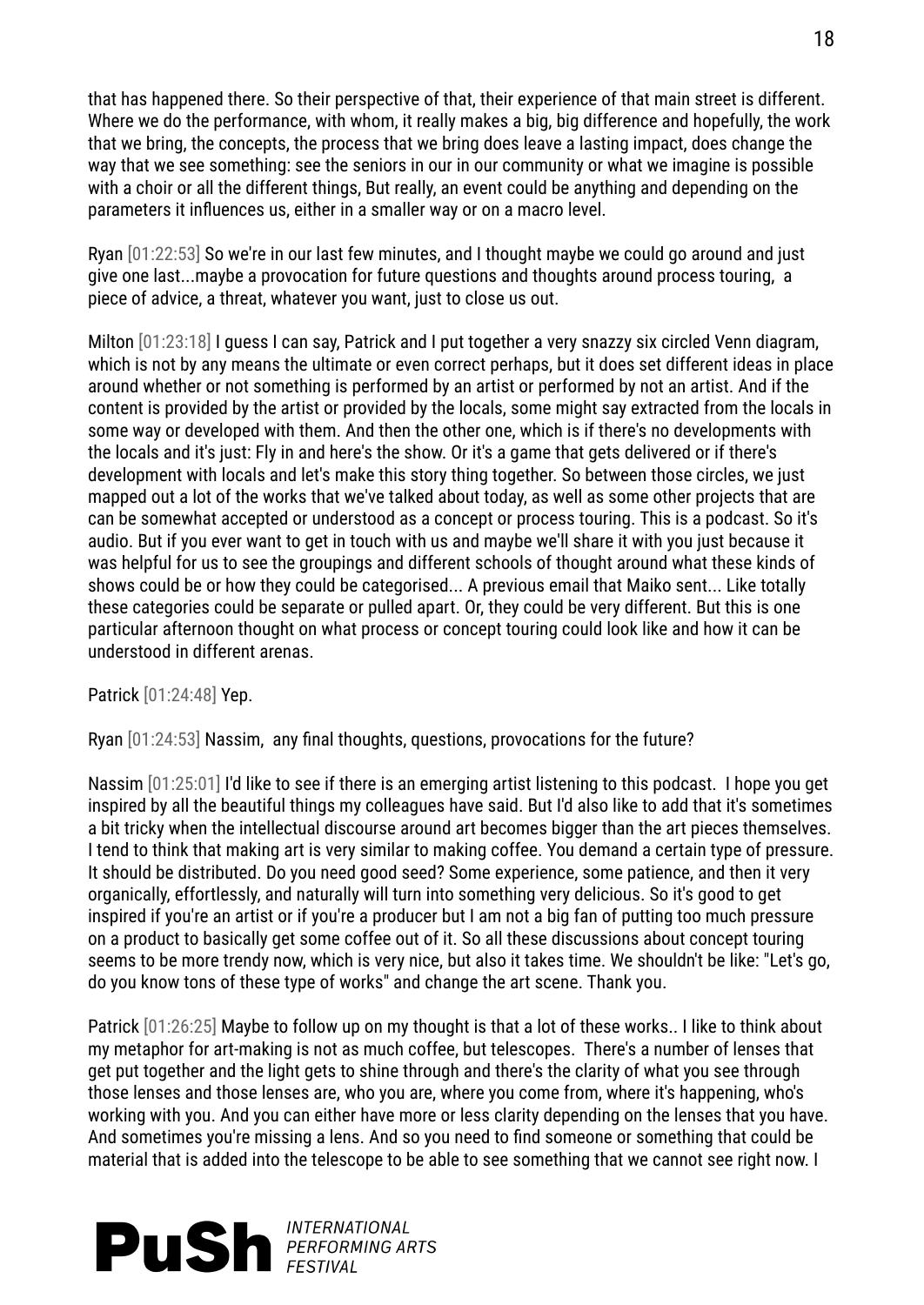that has happened there. So their perspective of that, their experience of that main street is different. Where we do the performance, with whom, it really makes a big, big difference and hopefully, the work that we bring, the concepts, the process that we bring does leave a lasting impact, does change the way that we see something: see the seniors in our in our community or what we imagine is possible with a choir or all the different things, But really, an event could be anything and depending on the parameters it influences us, either in a smaller way or on a macro level.

Ryan [01:22:53] So we're in our last few minutes, and I thought maybe we could go around and just give one last...maybe a provocation for future questions and thoughts around process touring, a piece of advice, a threat, whatever you want, just to close us out.

Milton [01:23:18] I guess I can say, Patrick and I put together a very snazzy six circled Venn diagram, which is not by any means the ultimate or even correct perhaps, but it does set different ideas in place around whether or not something is performed by an artist or performed by not an artist. And if the content is provided by the artist or provided by the locals, some might say extracted from the locals in some way or developed with them. And then the other one, which is if there's no developments with the locals and it's just: Fly in and here's the show. Or it's a game that gets delivered or if there's development with locals and let's make this story thing together. So between those circles, we just mapped out a lot of the works that we've talked about today, as well as some other projects that are can be somewhat accepted or understood as a concept or process touring. This is a podcast. So it's audio. But if you ever want to get in touch with us and maybe we'll share it with you just because it was helpful for us to see the groupings and different schools of thought around what these kinds of shows could be or how they could be categorised... A previous email that Maiko sent... Like totally these categories could be separate or pulled apart. Or, they could be very different. But this is one particular afternoon thought on what process or concept touring could look like and how it can be understood in different arenas.

Patrick [01:24:48] Yep.

Ryan [01:24:53] Nassim, any final thoughts, questions, provocations for the future?

Nassim [01:25:01] I'd like to see if there is an emerging artist listening to this podcast. I hope you get inspired by all the beautiful things my colleagues have said. But I'd also like to add that it's sometimes a bit tricky when the intellectual discourse around art becomes bigger than the art pieces themselves. I tend to think that making art is very similar to making coffee. You demand a certain type of pressure. It should be distributed. Do you need good seed? Some experience, some patience, and then it very organically, effortlessly, and naturally will turn into something very delicious. So it's good to get inspired if you're an artist or if you're a producer but I am not a big fan of putting too much pressure on a product to basically get some coffee out of it. So all these discussions about concept touring seems to be more trendy now, which is very nice, but also it takes time. We shouldn't be like: "Let's go, do you know tons of these type of works" and change the art scene. Thank you.

Patrick [01:26:25] Maybe to follow up on my thought is that a lot of these works.. I like to think about my metaphor for art-making is not as much coffee, but telescopes. There's a number of lenses that get put together and the light gets to shine through and there's the clarity of what you see through those lenses and those lenses are, who you are, where you come from, where it's happening, who's working with you. And you can either have more or less clarity depending on the lenses that you have. And sometimes you're missing a lens. And so you need to find someone or something that could be material that is added into the telescope to be able to see something that we cannot see right now. I

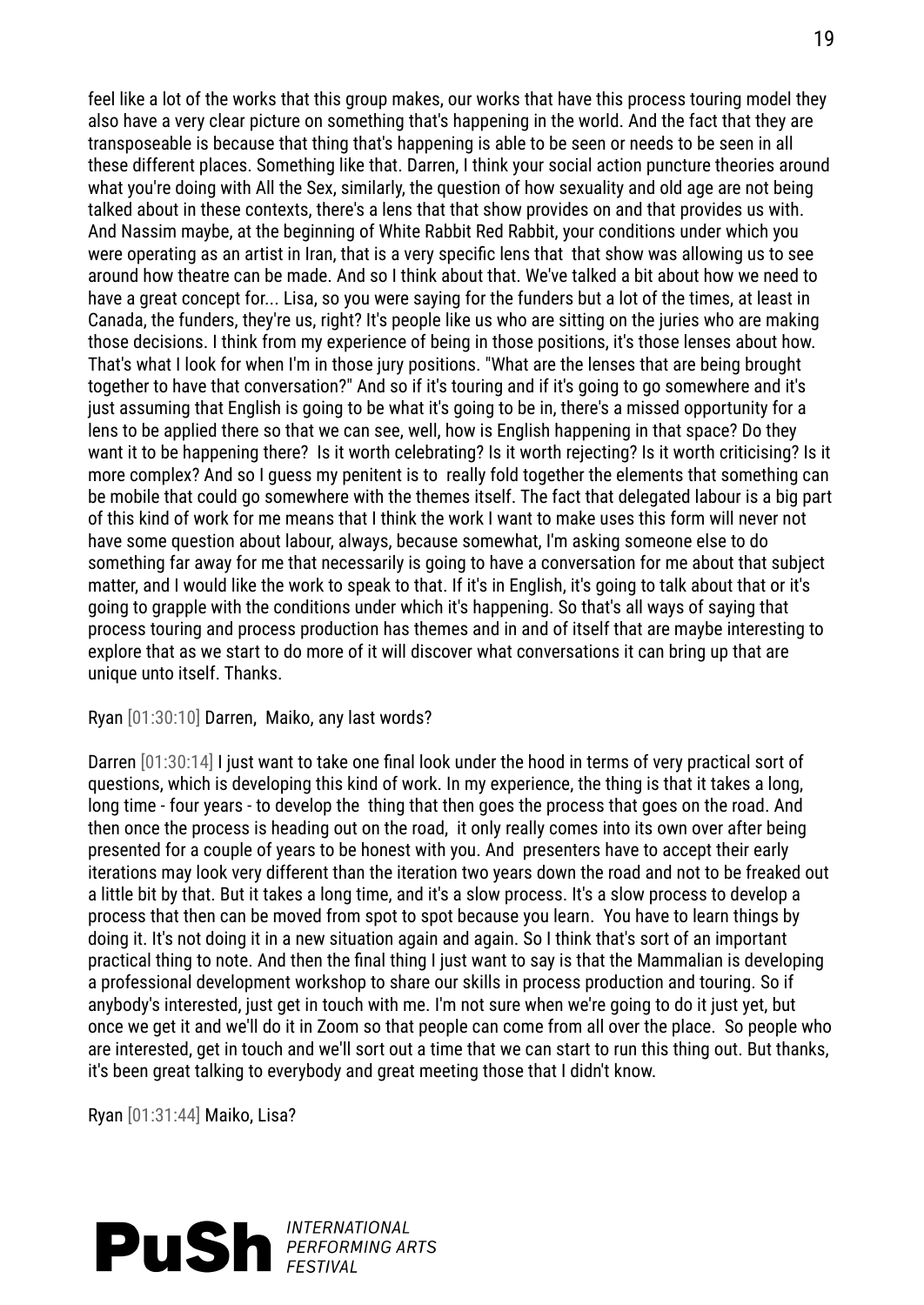feel like a lot of the works that this group makes, our works that have this process touring model they also have a very clear picture on something that's happening in the world. And the fact that they are transposeable is because that thing that's happening is able to be seen or needs to be seen in all these different places. Something like that. Darren, I think your social action puncture theories around what you're doing with All the Sex, similarly, the question of how sexuality and old age are not being talked about in these contexts, there's a lens that that show provides on and that provides us with. And Nassim maybe, at the beginning of White Rabbit Red Rabbit, your conditions under which you were operating as an artist in Iran, that is a very specific lens that that show was allowing us to see around how theatre can be made. And so I think about that. We've talked a bit about how we need to have a great concept for... Lisa, so you were saying for the funders but a lot of the times, at least in Canada, the funders, they're us, right? It's people like us who are sitting on the juries who are making those decisions. I think from my experience of being in those positions, it's those lenses about how. That's what I look for when I'm in those jury positions. "What are the lenses that are being brought together to have that conversation?" And so if it's touring and if it's going to go somewhere and it's just assuming that English is going to be what it's going to be in, there's a missed opportunity for a lens to be applied there so that we can see, well, how is English happening in that space? Do they want it to be happening there? Is it worth celebrating? Is it worth rejecting? Is it worth criticising? Is it more complex? And so I guess my penitent is to really fold together the elements that something can be mobile that could go somewhere with the themes itself. The fact that delegated labour is a big part of this kind of work for me means that I think the work I want to make uses this form will never not have some question about labour, always, because somewhat, I'm asking someone else to do something far away for me that necessarily is going to have a conversation for me about that subject matter, and I would like the work to speak to that. If it's in English, it's going to talk about that or it's going to grapple with the conditions under which it's happening. So that's all ways of saying that process touring and process production has themes and in and of itself that are maybe interesting to explore that as we start to do more of it will discover what conversations it can bring up that are unique unto itself. Thanks.

Ryan [01:30:10] Darren, Maiko, any last words?

Darren [01:30:14] I just want to take one final look under the hood in terms of very practical sort of questions, which is developing this kind of work. In my experience, the thing is that it takes a long, long time - four years - to develop the thing that then goes the process that goes on the road. And then once the process is heading out on the road, it only really comes into its own over after being presented for a couple of years to be honest with you. And presenters have to accept their early iterations may look very different than the iteration two years down the road and not to be freaked out a little bit by that. But it takes a long time, and it's a slow process. It's a slow process to develop a process that then can be moved from spot to spot because you learn. You have to learn things by doing it. It's not doing it in a new situation again and again. So I think that's sort of an important practical thing to note. And then the final thing I just want to say is that the Mammalian is developing a professional development workshop to share our skills in process production and touring. So if anybody's interested, just get in touch with me. I'm not sure when we're going to do it just yet, but once we get it and we'll do it in Zoom so that people can come from all over the place. So people who are interested, get in touch and we'll sort out a time that we can start to run this thing out. But thanks, it's been great talking to everybody and great meeting those that I didn't know.

Ryan [01:31:44] Maiko, Lisa?